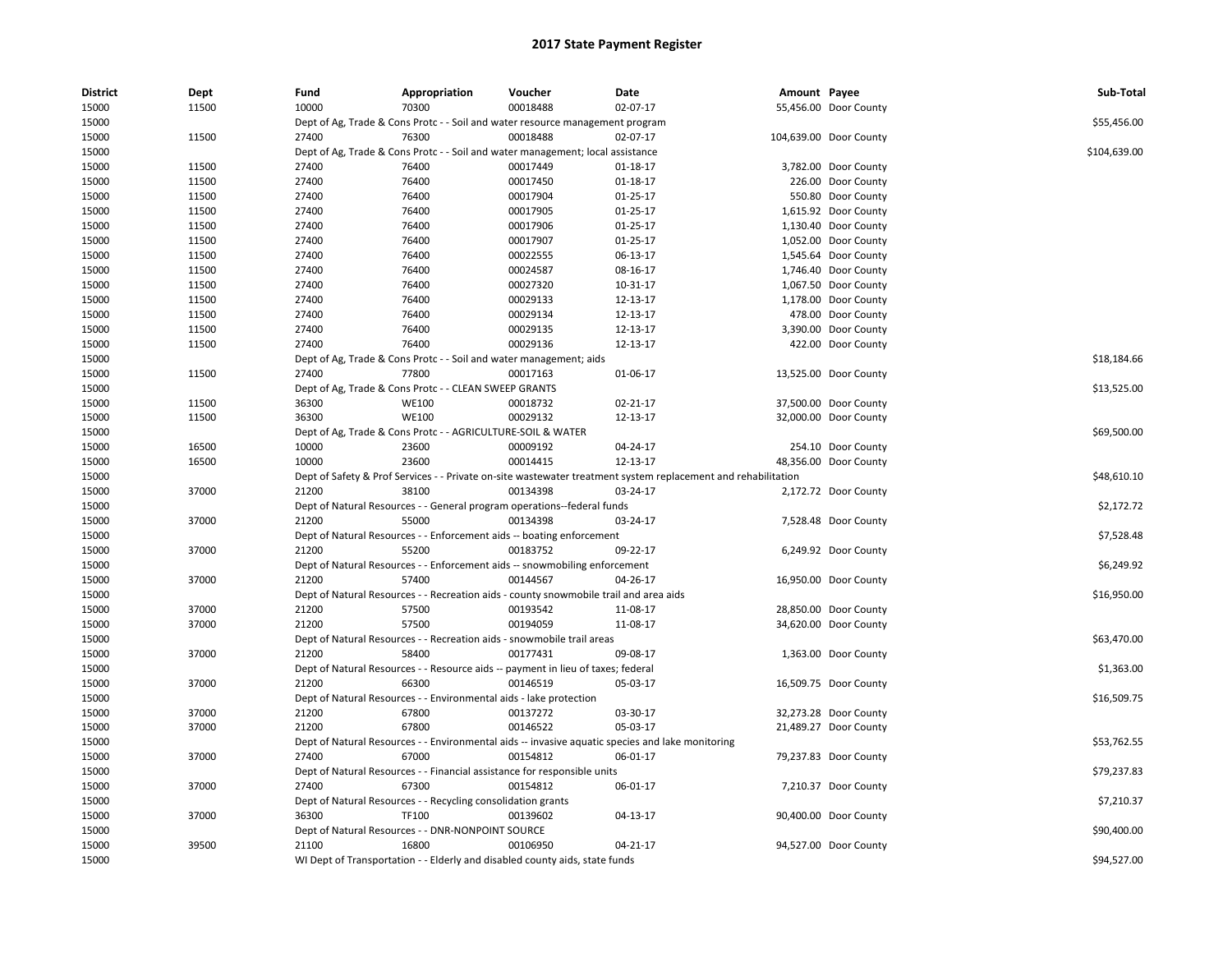| <b>District</b> | <b>Dept</b> | Fund  | Appropriation                                                                         | Voucher  | Date                                                                                                          | Amount Payee |                        | Sub-Total    |
|-----------------|-------------|-------|---------------------------------------------------------------------------------------|----------|---------------------------------------------------------------------------------------------------------------|--------------|------------------------|--------------|
| 15000           | 11500       | 10000 | 70300                                                                                 | 00018488 | 02-07-17                                                                                                      |              | 55,456.00 Door County  |              |
| 15000           |             |       | Dept of Ag, Trade & Cons Protc - - Soil and water resource management program         |          |                                                                                                               |              |                        | \$55,456.00  |
| 15000           | 11500       | 27400 | 76300                                                                                 | 00018488 | 02-07-17                                                                                                      |              | 104,639.00 Door County |              |
| 15000           |             |       | Dept of Ag, Trade & Cons Protc - - Soil and water management; local assistance        |          |                                                                                                               |              |                        | \$104,639.00 |
| 15000           | 11500       | 27400 | 76400                                                                                 | 00017449 | $01 - 18 - 17$                                                                                                |              | 3,782.00 Door County   |              |
| 15000           | 11500       | 27400 | 76400                                                                                 | 00017450 | $01-18-17$                                                                                                    |              | 226.00 Door County     |              |
| 15000           | 11500       | 27400 | 76400                                                                                 | 00017904 | $01 - 25 - 17$                                                                                                |              | 550.80 Door County     |              |
| 15000           | 11500       | 27400 | 76400                                                                                 | 00017905 | 01-25-17                                                                                                      |              | 1,615.92 Door County   |              |
| 15000           | 11500       | 27400 | 76400                                                                                 | 00017906 | 01-25-17                                                                                                      |              | 1,130.40 Door County   |              |
| 15000           | 11500       | 27400 | 76400                                                                                 | 00017907 | $01 - 25 - 17$                                                                                                |              | 1,052.00 Door County   |              |
| 15000           | 11500       | 27400 | 76400                                                                                 | 00022555 | 06-13-17                                                                                                      |              | 1,545.64 Door County   |              |
| 15000           | 11500       | 27400 | 76400                                                                                 | 00024587 | 08-16-17                                                                                                      |              | 1,746.40 Door County   |              |
| 15000           | 11500       | 27400 | 76400                                                                                 | 00027320 | 10-31-17                                                                                                      |              | 1,067.50 Door County   |              |
| 15000           | 11500       | 27400 | 76400                                                                                 | 00029133 | 12-13-17                                                                                                      |              | 1,178.00 Door County   |              |
| 15000           | 11500       | 27400 | 76400                                                                                 | 00029134 | 12-13-17                                                                                                      |              | 478.00 Door County     |              |
| 15000           | 11500       | 27400 | 76400                                                                                 | 00029135 | 12-13-17                                                                                                      |              | 3,390.00 Door County   |              |
| 15000           | 11500       | 27400 | 76400                                                                                 | 00029136 | 12-13-17                                                                                                      |              | 422.00 Door County     |              |
| 15000           |             |       | Dept of Ag, Trade & Cons Protc - - Soil and water management; aids                    |          |                                                                                                               |              |                        | \$18,184.66  |
| 15000           | 11500       | 27400 | 77800                                                                                 | 00017163 | 01-06-17                                                                                                      |              | 13,525.00 Door County  |              |
| 15000           |             |       | Dept of Ag, Trade & Cons Protc - - CLEAN SWEEP GRANTS                                 |          |                                                                                                               |              |                        | \$13,525.00  |
| 15000           | 11500       | 36300 | <b>WE100</b>                                                                          | 00018732 | 02-21-17                                                                                                      |              | 37,500.00 Door County  |              |
| 15000           | 11500       | 36300 | <b>WE100</b>                                                                          | 00029132 | 12-13-17                                                                                                      |              | 32,000.00 Door County  |              |
| 15000           |             |       | Dept of Ag, Trade & Cons Protc - - AGRICULTURE-SOIL & WATER                           |          |                                                                                                               |              |                        | \$69,500.00  |
| 15000           | 16500       | 10000 | 23600                                                                                 | 00009192 | 04-24-17                                                                                                      |              | 254.10 Door County     |              |
| 15000           | 16500       | 10000 | 23600                                                                                 | 00014415 | 12-13-17                                                                                                      |              | 48,356.00 Door County  |              |
| 15000           |             |       |                                                                                       |          | Dept of Safety & Prof Services - - Private on-site wastewater treatment system replacement and rehabilitation |              |                        | \$48,610.10  |
| 15000           | 37000       | 21200 | 38100                                                                                 | 00134398 | 03-24-17                                                                                                      |              | 2,172.72 Door County   |              |
| 15000           |             |       | Dept of Natural Resources - - General program operations--federal funds               |          |                                                                                                               |              |                        | \$2,172.72   |
| 15000           | 37000       | 21200 | 55000                                                                                 | 00134398 | 03-24-17                                                                                                      |              | 7,528.48 Door County   |              |
| 15000           |             |       | Dept of Natural Resources - - Enforcement aids -- boating enforcement                 |          |                                                                                                               |              |                        | \$7,528.48   |
| 15000           | 37000       | 21200 | 55200                                                                                 | 00183752 | 09-22-17                                                                                                      |              | 6,249.92 Door County   |              |
| 15000           |             |       | Dept of Natural Resources - - Enforcement aids -- snowmobiling enforcement            |          |                                                                                                               |              |                        | \$6,249.92   |
| 15000           | 37000       | 21200 | 57400                                                                                 | 00144567 | 04-26-17                                                                                                      |              | 16,950.00 Door County  |              |
| 15000           |             |       | Dept of Natural Resources - - Recreation aids - county snowmobile trail and area aids |          |                                                                                                               |              |                        | \$16,950.00  |
| 15000           | 37000       | 21200 | 57500                                                                                 | 00193542 | 11-08-17                                                                                                      |              | 28,850.00 Door County  |              |
| 15000           | 37000       | 21200 | 57500                                                                                 | 00194059 | 11-08-17                                                                                                      |              | 34,620.00 Door County  |              |
| 15000           |             |       | Dept of Natural Resources - - Recreation aids - snowmobile trail areas                |          |                                                                                                               |              |                        | \$63,470.00  |
| 15000           | 37000       | 21200 | 58400                                                                                 | 00177431 | 09-08-17                                                                                                      |              | 1,363.00 Door County   |              |
| 15000           |             |       | Dept of Natural Resources - - Resource aids -- payment in lieu of taxes; federal      |          |                                                                                                               |              |                        | \$1,363.00   |
| 15000           | 37000       | 21200 | 66300                                                                                 | 00146519 | 05-03-17                                                                                                      |              | 16,509.75 Door County  |              |
|                 |             |       |                                                                                       |          |                                                                                                               |              |                        |              |
| 15000<br>15000  | 37000       | 21200 | Dept of Natural Resources - - Environmental aids - lake protection<br>67800           | 00137272 | 03-30-17                                                                                                      |              |                        | \$16,509.75  |
|                 | 37000       | 21200 | 67800                                                                                 | 00146522 | 05-03-17                                                                                                      |              | 32,273.28 Door County  |              |
| 15000           |             |       |                                                                                       |          |                                                                                                               |              | 21,489.27 Door County  |              |
| 15000           |             |       |                                                                                       |          | Dept of Natural Resources - - Environmental aids -- invasive aquatic species and lake monitoring              |              |                        | \$53,762.55  |
| 15000           | 37000       | 27400 | 67000                                                                                 | 00154812 | 06-01-17                                                                                                      |              | 79,237.83 Door County  |              |
| 15000           |             |       | Dept of Natural Resources - - Financial assistance for responsible units              |          |                                                                                                               |              |                        | \$79,237.83  |
| 15000           | 37000       | 27400 | 67300                                                                                 | 00154812 | 06-01-17                                                                                                      |              | 7,210.37 Door County   |              |
| 15000           |             |       | Dept of Natural Resources - - Recycling consolidation grants                          |          |                                                                                                               |              |                        | \$7,210.37   |
| 15000           | 37000       | 36300 | <b>TF100</b>                                                                          | 00139602 | 04-13-17                                                                                                      |              | 90,400.00 Door County  |              |
| 15000           |             |       | Dept of Natural Resources - - DNR-NONPOINT SOURCE                                     |          |                                                                                                               |              |                        | \$90,400.00  |
| 15000           | 39500       | 21100 | 16800                                                                                 | 00106950 | 04-21-17                                                                                                      |              | 94,527.00 Door County  |              |
| 15000           |             |       | WI Dept of Transportation - - Elderly and disabled county aids, state funds           |          |                                                                                                               |              |                        | \$94,527.00  |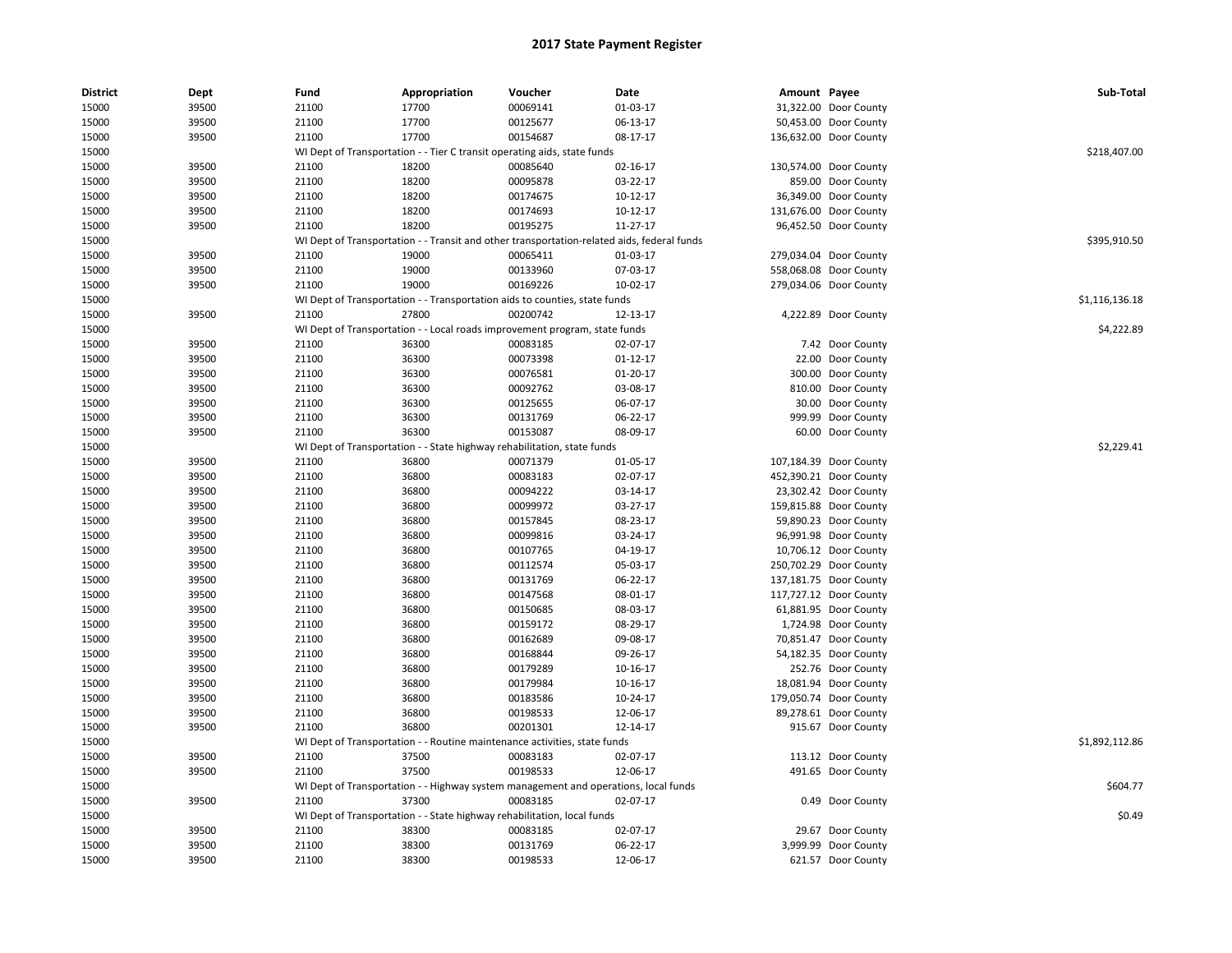| <b>District</b> | Dept           | Fund           | Appropriation                                                                              | Voucher              | Date                 | Amount Payee |                                                 | Sub-Total      |
|-----------------|----------------|----------------|--------------------------------------------------------------------------------------------|----------------------|----------------------|--------------|-------------------------------------------------|----------------|
| 15000           | 39500          | 21100          | 17700                                                                                      | 00069141             | 01-03-17             |              | 31,322.00 Door County                           |                |
| 15000           | 39500          | 21100          | 17700                                                                                      | 00125677             | 06-13-17             |              | 50,453.00 Door County                           |                |
| 15000           | 39500          | 21100          | 17700                                                                                      | 00154687             | 08-17-17             |              | 136,632.00 Door County                          |                |
| 15000           |                |                | WI Dept of Transportation - - Tier C transit operating aids, state funds                   |                      |                      |              |                                                 | \$218,407.00   |
| 15000           | 39500          | 21100          | 18200                                                                                      | 00085640             | 02-16-17             |              | 130,574.00 Door County                          |                |
| 15000           | 39500          | 21100          | 18200                                                                                      | 00095878             | 03-22-17             |              | 859.00 Door County                              |                |
| 15000           | 39500          | 21100          | 18200                                                                                      | 00174675             | $10-12-17$           |              | 36,349.00 Door County                           |                |
| 15000           | 39500          | 21100          | 18200                                                                                      | 00174693             | 10-12-17             |              | 131,676.00 Door County                          |                |
| 15000           | 39500          | 21100          | 18200                                                                                      | 00195275             | 11-27-17             |              | 96,452.50 Door County                           |                |
| 15000           |                |                | WI Dept of Transportation - - Transit and other transportation-related aids, federal funds |                      |                      |              |                                                 | \$395,910.50   |
| 15000           | 39500          | 21100          | 19000                                                                                      | 00065411             | 01-03-17             |              | 279,034.04 Door County                          |                |
| 15000           | 39500          | 21100          | 19000                                                                                      | 00133960             | 07-03-17             |              | 558,068.08 Door County                          |                |
| 15000           | 39500          | 21100          | 19000                                                                                      | 00169226             | 10-02-17             |              | 279,034.06 Door County                          |                |
| 15000           |                |                | WI Dept of Transportation - - Transportation aids to counties, state funds                 |                      |                      |              |                                                 | \$1,116,136.18 |
| 15000           | 39500          | 21100          | 27800                                                                                      | 00200742             | 12-13-17             |              | 4,222.89 Door County                            |                |
| 15000           |                |                | WI Dept of Transportation - - Local roads improvement program, state funds                 |                      |                      |              |                                                 | \$4,222.89     |
| 15000           | 39500          | 21100          | 36300                                                                                      | 00083185             | 02-07-17             |              | 7.42 Door County                                |                |
| 15000           | 39500          | 21100          | 36300                                                                                      | 00073398             | $01 - 12 - 17$       |              | 22.00 Door County                               |                |
| 15000           | 39500          | 21100          | 36300                                                                                      | 00076581             | 01-20-17             |              | 300.00 Door County                              |                |
| 15000           | 39500          | 21100          | 36300                                                                                      | 00092762             | 03-08-17             |              | 810.00 Door County                              |                |
| 15000           | 39500          | 21100          | 36300                                                                                      | 00125655             | 06-07-17             |              | 30.00 Door County                               |                |
| 15000           | 39500          | 21100          | 36300                                                                                      | 00131769             | 06-22-17             |              | 999.99 Door County                              |                |
| 15000           | 39500          | 21100          | 36300                                                                                      | 00153087             | 08-09-17             |              | 60.00 Door County                               |                |
| 15000           |                |                | WI Dept of Transportation - - State highway rehabilitation, state funds                    |                      |                      |              |                                                 | \$2,229.41     |
| 15000           | 39500          | 21100          | 36800                                                                                      | 00071379             | 01-05-17             |              | 107,184.39 Door County                          |                |
| 15000           | 39500          | 21100          | 36800                                                                                      | 00083183             | 02-07-17             |              | 452,390.21 Door County                          |                |
|                 |                |                |                                                                                            |                      |                      |              |                                                 |                |
| 15000<br>15000  | 39500<br>39500 | 21100<br>21100 | 36800<br>36800                                                                             | 00094222<br>00099972 | 03-14-17<br>03-27-17 |              | 23,302.42 Door County<br>159,815.88 Door County |                |
| 15000           |                | 21100          | 36800                                                                                      | 00157845             | 08-23-17             |              |                                                 |                |
|                 | 39500          |                | 36800                                                                                      | 00099816             |                      |              | 59,890.23 Door County                           |                |
| 15000           | 39500          | 21100          |                                                                                            |                      | 03-24-17             |              | 96,991.98 Door County                           |                |
| 15000           | 39500          | 21100          | 36800                                                                                      | 00107765             | 04-19-17             |              | 10,706.12 Door County                           |                |
| 15000           | 39500          | 21100          | 36800                                                                                      | 00112574             | 05-03-17             |              | 250,702.29 Door County                          |                |
| 15000           | 39500          | 21100          | 36800                                                                                      | 00131769             | 06-22-17             |              | 137,181.75 Door County                          |                |
| 15000           | 39500          | 21100          | 36800                                                                                      | 00147568             | 08-01-17             |              | 117,727.12 Door County                          |                |
| 15000           | 39500          | 21100          | 36800                                                                                      | 00150685             | 08-03-17             |              | 61,881.95 Door County                           |                |
| 15000           | 39500          | 21100          | 36800                                                                                      | 00159172             | 08-29-17             |              | 1,724.98 Door County                            |                |
| 15000           | 39500          | 21100          | 36800                                                                                      | 00162689             | 09-08-17             |              | 70,851.47 Door County                           |                |
| 15000           | 39500          | 21100          | 36800                                                                                      | 00168844             | 09-26-17             |              | 54,182.35 Door County                           |                |
| 15000           | 39500          | 21100          | 36800                                                                                      | 00179289             | 10-16-17             |              | 252.76 Door County                              |                |
| 15000           | 39500          | 21100          | 36800                                                                                      | 00179984             | 10-16-17             |              | 18,081.94 Door County                           |                |
| 15000           | 39500          | 21100          | 36800                                                                                      | 00183586             | 10-24-17             |              | 179,050.74 Door County                          |                |
| 15000           | 39500          | 21100          | 36800                                                                                      | 00198533             | 12-06-17             |              | 89,278.61 Door County                           |                |
| 15000           | 39500          | 21100          | 36800                                                                                      | 00201301             | 12-14-17             |              | 915.67 Door County                              |                |
| 15000           |                |                | WI Dept of Transportation - - Routine maintenance activities, state funds                  |                      |                      |              |                                                 | \$1,892,112.86 |
| 15000           | 39500          | 21100          | 37500                                                                                      | 00083183             | 02-07-17             |              | 113.12 Door County                              |                |
| 15000           | 39500          | 21100          | 37500                                                                                      | 00198533             | 12-06-17             |              | 491.65 Door County                              |                |
| 15000           |                |                | WI Dept of Transportation - - Highway system management and operations, local funds        |                      |                      |              |                                                 | \$604.77       |
| 15000           | 39500          | 21100          | 37300                                                                                      | 00083185             | 02-07-17             |              | 0.49 Door County                                |                |
| 15000           |                |                | WI Dept of Transportation - - State highway rehabilitation, local funds                    |                      |                      |              |                                                 | \$0.49         |
| 15000           | 39500          | 21100          | 38300                                                                                      | 00083185             | 02-07-17             |              | 29.67 Door County                               |                |
| 15000           | 39500          | 21100          | 38300                                                                                      | 00131769             | 06-22-17             |              | 3,999.99 Door County                            |                |
| 15000           | 39500          | 21100          | 38300                                                                                      | 00198533             | 12-06-17             |              | 621.57 Door County                              |                |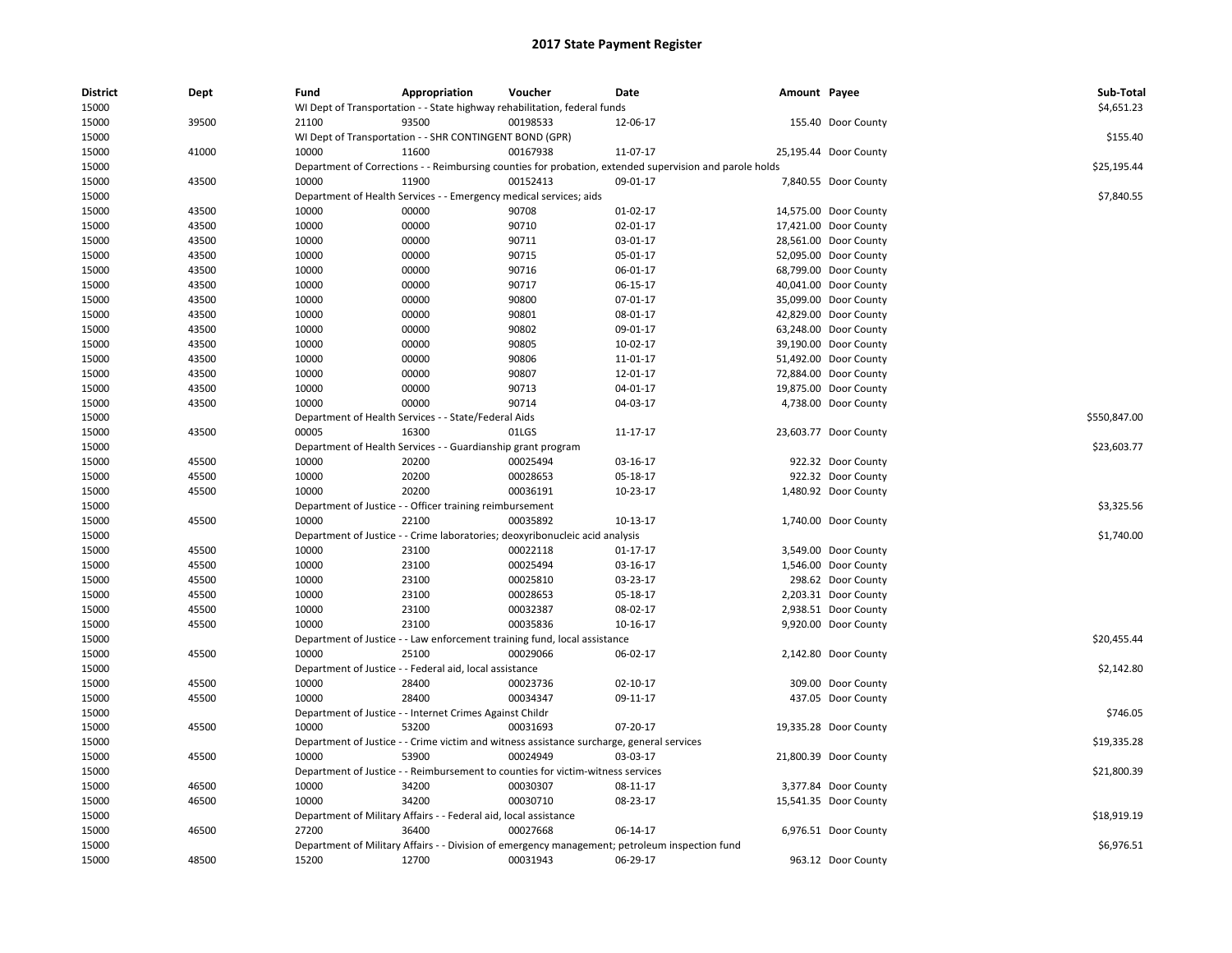| <b>District</b> | Dept  | Fund  | Appropriation                                                      | Voucher                                                                                   | Date                                                                                                    | Amount Payee |                       | Sub-Total    |
|-----------------|-------|-------|--------------------------------------------------------------------|-------------------------------------------------------------------------------------------|---------------------------------------------------------------------------------------------------------|--------------|-----------------------|--------------|
| 15000           |       |       |                                                                    | WI Dept of Transportation - - State highway rehabilitation, federal funds                 |                                                                                                         |              |                       | \$4,651.23   |
| 15000           | 39500 | 21100 | 93500                                                              | 00198533                                                                                  | 12-06-17                                                                                                |              | 155.40 Door County    |              |
| 15000           |       |       | WI Dept of Transportation - - SHR CONTINGENT BOND (GPR)            |                                                                                           |                                                                                                         |              |                       | \$155.40     |
| 15000           | 41000 | 10000 | 11600                                                              | 00167938                                                                                  | 11-07-17                                                                                                |              | 25,195.44 Door County |              |
| 15000           |       |       |                                                                    |                                                                                           | Department of Corrections - - Reimbursing counties for probation, extended supervision and parole holds |              |                       | \$25,195.44  |
| 15000           | 43500 | 10000 | 11900                                                              | 00152413                                                                                  | 09-01-17                                                                                                |              | 7,840.55 Door County  |              |
| 15000           |       |       | Department of Health Services - - Emergency medical services; aids |                                                                                           |                                                                                                         |              |                       | \$7,840.55   |
| 15000           | 43500 | 10000 | 00000                                                              | 90708                                                                                     | 01-02-17                                                                                                |              | 14,575.00 Door County |              |
| 15000           | 43500 | 10000 | 00000                                                              | 90710                                                                                     | 02-01-17                                                                                                |              | 17,421.00 Door County |              |
| 15000           | 43500 | 10000 | 00000                                                              | 90711                                                                                     | 03-01-17                                                                                                |              | 28,561.00 Door County |              |
| 15000           | 43500 | 10000 | 00000                                                              | 90715                                                                                     | 05-01-17                                                                                                |              | 52,095.00 Door County |              |
| 15000           | 43500 | 10000 | 00000                                                              | 90716                                                                                     | 06-01-17                                                                                                |              | 68,799.00 Door County |              |
| 15000           | 43500 | 10000 | 00000                                                              | 90717                                                                                     | 06-15-17                                                                                                |              | 40,041.00 Door County |              |
| 15000           | 43500 | 10000 | 00000                                                              | 90800                                                                                     | 07-01-17                                                                                                |              | 35,099.00 Door County |              |
| 15000           | 43500 | 10000 | 00000                                                              | 90801                                                                                     | 08-01-17                                                                                                |              | 42,829.00 Door County |              |
| 15000           | 43500 | 10000 | 00000                                                              | 90802                                                                                     | 09-01-17                                                                                                |              | 63,248.00 Door County |              |
| 15000           | 43500 | 10000 | 00000                                                              | 90805                                                                                     | 10-02-17                                                                                                |              | 39,190.00 Door County |              |
| 15000           | 43500 | 10000 | 00000                                                              | 90806                                                                                     | 11-01-17                                                                                                |              | 51,492.00 Door County |              |
| 15000           | 43500 | 10000 | 00000                                                              | 90807                                                                                     | 12-01-17                                                                                                |              | 72,884.00 Door County |              |
| 15000           | 43500 | 10000 | 00000                                                              | 90713                                                                                     | 04-01-17                                                                                                |              | 19,875.00 Door County |              |
| 15000           | 43500 | 10000 | 00000                                                              | 90714                                                                                     | 04-03-17                                                                                                |              | 4,738.00 Door County  |              |
| 15000           |       |       | Department of Health Services - - State/Federal Aids               |                                                                                           |                                                                                                         |              |                       | \$550,847.00 |
| 15000           | 43500 | 00005 | 16300                                                              | 01LGS                                                                                     | 11-17-17                                                                                                |              | 23,603.77 Door County |              |
| 15000           |       |       | Department of Health Services - - Guardianship grant program       |                                                                                           |                                                                                                         |              |                       | \$23,603.77  |
| 15000           | 45500 | 10000 | 20200                                                              | 00025494                                                                                  | 03-16-17                                                                                                |              | 922.32 Door County    |              |
| 15000           | 45500 | 10000 | 20200                                                              | 00028653                                                                                  | 05-18-17                                                                                                |              | 922.32 Door County    |              |
| 15000           | 45500 | 10000 | 20200                                                              | 00036191                                                                                  | 10-23-17                                                                                                |              | 1,480.92 Door County  |              |
| 15000           |       |       | Department of Justice - - Officer training reimbursement           |                                                                                           |                                                                                                         |              |                       | \$3,325.56   |
| 15000           | 45500 | 10000 | 22100                                                              | 00035892                                                                                  | $10-13-17$                                                                                              |              | 1,740.00 Door County  |              |
| 15000           |       |       |                                                                    | Department of Justice - - Crime laboratories; deoxyribonucleic acid analysis              |                                                                                                         |              |                       | \$1,740.00   |
| 15000           | 45500 | 10000 | 23100                                                              | 00022118                                                                                  | $01 - 17 - 17$                                                                                          |              | 3,549.00 Door County  |              |
| 15000           | 45500 | 10000 | 23100                                                              | 00025494                                                                                  | 03-16-17                                                                                                |              |                       |              |
|                 | 45500 |       | 23100                                                              |                                                                                           |                                                                                                         |              | 1,546.00 Door County  |              |
| 15000           |       | 10000 |                                                                    | 00025810                                                                                  | 03-23-17                                                                                                |              | 298.62 Door County    |              |
| 15000           | 45500 | 10000 | 23100                                                              | 00028653                                                                                  | 05-18-17                                                                                                |              | 2,203.31 Door County  |              |
| 15000           | 45500 | 10000 | 23100                                                              | 00032387                                                                                  | 08-02-17                                                                                                |              | 2,938.51 Door County  |              |
| 15000           | 45500 | 10000 | 23100                                                              | 00035836                                                                                  | 10-16-17                                                                                                |              | 9,920.00 Door County  |              |
| 15000           |       |       |                                                                    | Department of Justice - - Law enforcement training fund, local assistance                 |                                                                                                         |              |                       | \$20,455.44  |
| 15000           | 45500 | 10000 | 25100                                                              | 00029066                                                                                  | 06-02-17                                                                                                |              | 2,142.80 Door County  |              |
| 15000           |       |       | Department of Justice - - Federal aid, local assistance            |                                                                                           |                                                                                                         |              |                       | \$2,142.80   |
| 15000           | 45500 | 10000 | 28400                                                              | 00023736                                                                                  | $02 - 10 - 17$                                                                                          |              | 309.00 Door County    |              |
| 15000           | 45500 | 10000 | 28400                                                              | 00034347                                                                                  | 09-11-17                                                                                                |              | 437.05 Door County    |              |
| 15000           |       |       | Department of Justice - - Internet Crimes Against Childr           |                                                                                           |                                                                                                         |              |                       | \$746.05     |
| 15000           | 45500 | 10000 | 53200                                                              | 00031693                                                                                  | 07-20-17                                                                                                |              | 19,335.28 Door County |              |
| 15000           |       |       |                                                                    | Department of Justice - - Crime victim and witness assistance surcharge, general services |                                                                                                         |              |                       | \$19,335.28  |
| 15000           | 45500 | 10000 | 53900                                                              | 00024949                                                                                  | 03-03-17                                                                                                |              | 21,800.39 Door County |              |
| 15000           |       |       |                                                                    | Department of Justice - - Reimbursement to counties for victim-witness services           |                                                                                                         |              |                       | \$21,800.39  |
| 15000           | 46500 | 10000 | 34200                                                              | 00030307                                                                                  | 08-11-17                                                                                                |              | 3,377.84 Door County  |              |
| 15000           | 46500 | 10000 | 34200                                                              | 00030710                                                                                  | 08-23-17                                                                                                |              | 15,541.35 Door County |              |
| 15000           |       |       | Department of Military Affairs - - Federal aid, local assistance   |                                                                                           |                                                                                                         |              |                       | \$18,919.19  |
| 15000           | 46500 | 27200 | 36400                                                              | 00027668                                                                                  | 06-14-17                                                                                                |              | 6.976.51 Door County  |              |
| 15000           |       |       |                                                                    |                                                                                           | Department of Military Affairs - - Division of emergency management; petroleum inspection fund          |              |                       | \$6,976.51   |
| 15000           | 48500 | 15200 | 12700                                                              | 00031943                                                                                  | 06-29-17                                                                                                |              | 963.12 Door County    |              |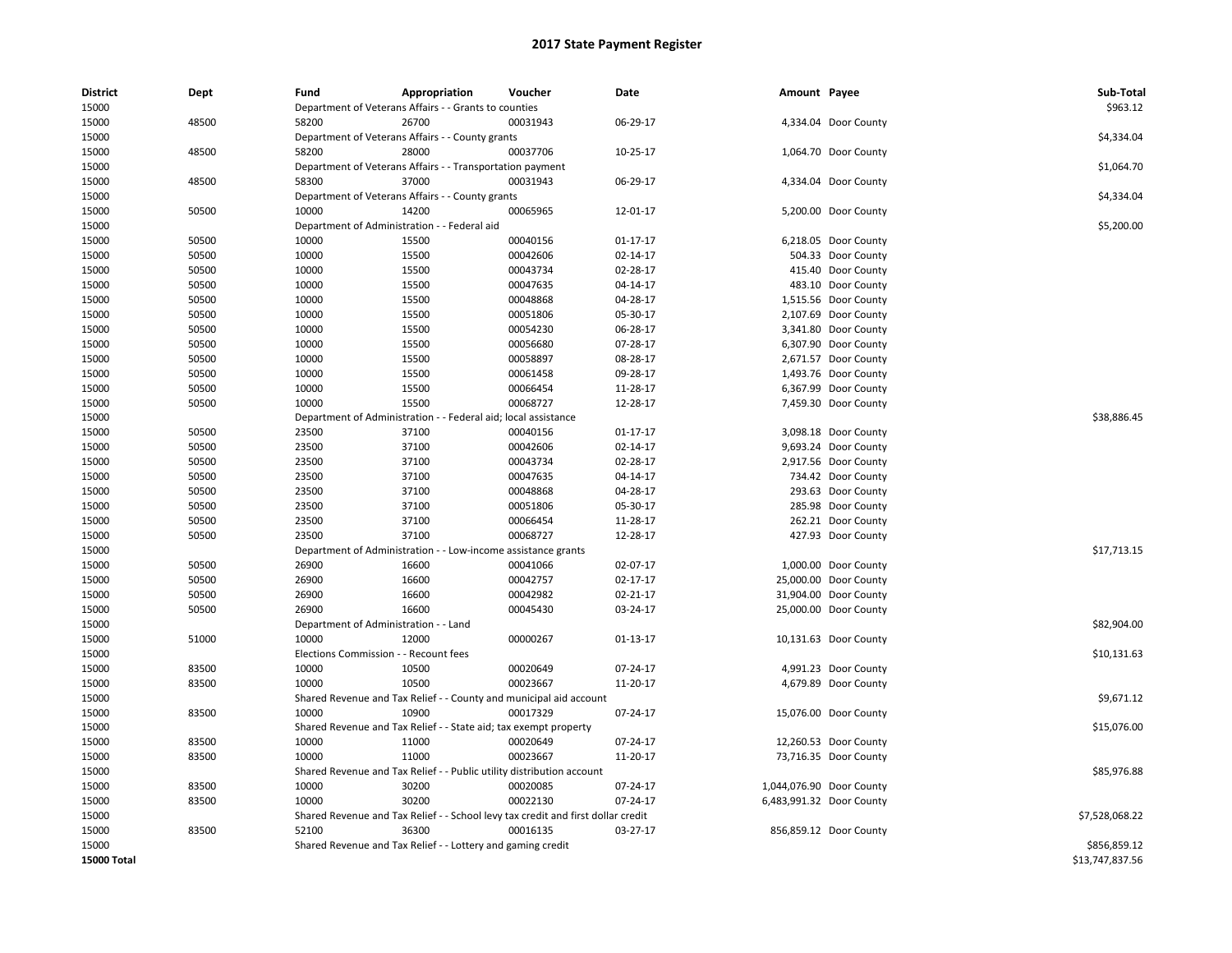| <b>District</b>    | Dept  | Fund                                  | Appropriation                                                         | Voucher                                                                          | Date           | Amount Payee |                          | Sub-Total       |
|--------------------|-------|---------------------------------------|-----------------------------------------------------------------------|----------------------------------------------------------------------------------|----------------|--------------|--------------------------|-----------------|
| 15000              |       |                                       | Department of Veterans Affairs - - Grants to counties                 |                                                                                  |                |              |                          | \$963.12        |
| 15000              | 48500 | 58200                                 | 26700                                                                 | 00031943                                                                         | 06-29-17       |              | 4,334.04 Door County     |                 |
| 15000              |       |                                       | Department of Veterans Affairs - - County grants                      |                                                                                  |                |              |                          | \$4,334.04      |
| 15000              | 48500 | 58200                                 | 28000                                                                 | 00037706                                                                         | 10-25-17       |              | 1,064.70 Door County     |                 |
| 15000              |       |                                       | Department of Veterans Affairs - - Transportation payment             |                                                                                  |                |              |                          | \$1,064.70      |
| 15000              | 48500 | 58300                                 | 37000                                                                 | 00031943                                                                         | 06-29-17       |              | 4,334.04 Door County     |                 |
| 15000              |       |                                       | Department of Veterans Affairs - - County grants                      |                                                                                  |                |              |                          | \$4,334.04      |
| 15000              | 50500 | 10000                                 | 14200                                                                 | 00065965                                                                         | 12-01-17       |              | 5,200.00 Door County     |                 |
| 15000              |       |                                       | Department of Administration - - Federal aid                          |                                                                                  |                |              |                          | \$5,200.00      |
| 15000              | 50500 | 10000                                 | 15500                                                                 | 00040156                                                                         | $01-17-17$     |              | 6,218.05 Door County     |                 |
| 15000              | 50500 | 10000                                 | 15500                                                                 | 00042606                                                                         | 02-14-17       |              | 504.33 Door County       |                 |
| 15000              | 50500 | 10000                                 | 15500                                                                 | 00043734                                                                         | 02-28-17       |              | 415.40 Door County       |                 |
| 15000              | 50500 | 10000                                 | 15500                                                                 | 00047635                                                                         | 04-14-17       |              | 483.10 Door County       |                 |
| 15000              | 50500 | 10000                                 | 15500                                                                 | 00048868                                                                         | 04-28-17       |              | 1,515.56 Door County     |                 |
| 15000              | 50500 | 10000                                 | 15500                                                                 | 00051806                                                                         | 05-30-17       |              | 2,107.69 Door County     |                 |
| 15000              | 50500 | 10000                                 | 15500                                                                 | 00054230                                                                         | 06-28-17       |              | 3,341.80 Door County     |                 |
| 15000              | 50500 | 10000                                 | 15500                                                                 | 00056680                                                                         | 07-28-17       |              | 6,307.90 Door County     |                 |
| 15000              | 50500 | 10000                                 | 15500                                                                 | 00058897                                                                         | 08-28-17       |              | 2,671.57 Door County     |                 |
| 15000              | 50500 | 10000                                 | 15500                                                                 | 00061458                                                                         | 09-28-17       |              | 1,493.76 Door County     |                 |
| 15000              | 50500 | 10000                                 | 15500                                                                 | 00066454                                                                         | 11-28-17       |              | 6,367.99 Door County     |                 |
| 15000              | 50500 | 10000                                 | 15500                                                                 | 00068727                                                                         | 12-28-17       |              | 7,459.30 Door County     |                 |
| 15000              |       |                                       | Department of Administration - - Federal aid; local assistance        |                                                                                  |                |              |                          | \$38,886.45     |
| 15000              | 50500 | 23500                                 | 37100                                                                 | 00040156                                                                         | $01 - 17 - 17$ |              | 3,098.18 Door County     |                 |
| 15000              | 50500 | 23500                                 | 37100                                                                 | 00042606                                                                         | 02-14-17       |              | 9,693.24 Door County     |                 |
| 15000              | 50500 | 23500                                 | 37100                                                                 | 00043734                                                                         | 02-28-17       |              | 2,917.56 Door County     |                 |
| 15000              | 50500 | 23500                                 | 37100                                                                 | 00047635                                                                         | 04-14-17       |              | 734.42 Door County       |                 |
| 15000              | 50500 | 23500                                 | 37100                                                                 | 00048868                                                                         | 04-28-17       |              | 293.63 Door County       |                 |
| 15000              | 50500 | 23500                                 | 37100                                                                 | 00051806                                                                         | 05-30-17       |              | 285.98 Door County       |                 |
| 15000              | 50500 | 23500                                 | 37100                                                                 | 00066454                                                                         | 11-28-17       |              | 262.21 Door County       |                 |
| 15000              | 50500 | 23500                                 | 37100                                                                 | 00068727                                                                         | 12-28-17       |              | 427.93 Door County       |                 |
| 15000              |       |                                       | Department of Administration - - Low-income assistance grants         |                                                                                  |                |              |                          | \$17,713.15     |
| 15000              | 50500 | 26900                                 | 16600                                                                 | 00041066                                                                         | 02-07-17       |              | 1,000.00 Door County     |                 |
|                    |       | 26900                                 |                                                                       | 00042757                                                                         | 02-17-17       |              |                          |                 |
| 15000              | 50500 |                                       | 16600                                                                 |                                                                                  |                |              | 25,000.00 Door County    |                 |
| 15000              | 50500 | 26900                                 | 16600                                                                 | 00042982                                                                         | 02-21-17       |              | 31,904.00 Door County    |                 |
| 15000              | 50500 | 26900                                 | 16600                                                                 | 00045430                                                                         | 03-24-17       |              | 25,000.00 Door County    |                 |
| 15000              |       | Department of Administration - - Land |                                                                       |                                                                                  |                |              |                          | \$82,904.00     |
| 15000              | 51000 | 10000                                 | 12000                                                                 | 00000267                                                                         | $01-13-17$     |              | 10,131.63 Door County    |                 |
| 15000              |       | Elections Commission - - Recount fees |                                                                       |                                                                                  |                |              |                          | \$10,131.63     |
| 15000              | 83500 | 10000                                 | 10500                                                                 | 00020649                                                                         | 07-24-17       |              | 4,991.23 Door County     |                 |
| 15000              | 83500 | 10000                                 | 10500                                                                 | 00023667                                                                         | 11-20-17       |              | 4,679.89 Door County     |                 |
| 15000              |       |                                       |                                                                       | Shared Revenue and Tax Relief - - County and municipal aid account               |                |              |                          | \$9,671.12      |
| 15000              | 83500 | 10000                                 | 10900                                                                 | 00017329                                                                         | 07-24-17       |              | 15,076.00 Door County    |                 |
| 15000              |       |                                       | Shared Revenue and Tax Relief - - State aid; tax exempt property      |                                                                                  |                |              |                          | \$15,076.00     |
| 15000              | 83500 | 10000                                 | 11000                                                                 | 00020649                                                                         | 07-24-17       |              | 12,260.53 Door County    |                 |
| 15000              | 83500 | 10000                                 | 11000                                                                 | 00023667                                                                         | 11-20-17       |              | 73,716.35 Door County    |                 |
| 15000              |       |                                       | Shared Revenue and Tax Relief - - Public utility distribution account |                                                                                  |                |              |                          | \$85,976.88     |
| 15000              | 83500 | 10000                                 | 30200                                                                 | 00020085                                                                         | 07-24-17       |              | 1,044,076.90 Door County |                 |
| 15000              | 83500 | 10000                                 | 30200                                                                 | 00022130                                                                         | 07-24-17       |              | 6,483,991.32 Door County |                 |
| 15000              |       |                                       |                                                                       | Shared Revenue and Tax Relief - - School levy tax credit and first dollar credit |                |              |                          | \$7,528,068.22  |
| 15000              | 83500 | 52100                                 | 36300                                                                 | 00016135                                                                         | 03-27-17       |              | 856,859.12 Door County   |                 |
| 15000              |       |                                       | Shared Revenue and Tax Relief - - Lottery and gaming credit           |                                                                                  |                |              |                          | \$856,859.12    |
| <b>15000 Total</b> |       |                                       |                                                                       |                                                                                  |                |              |                          | \$13,747,837.56 |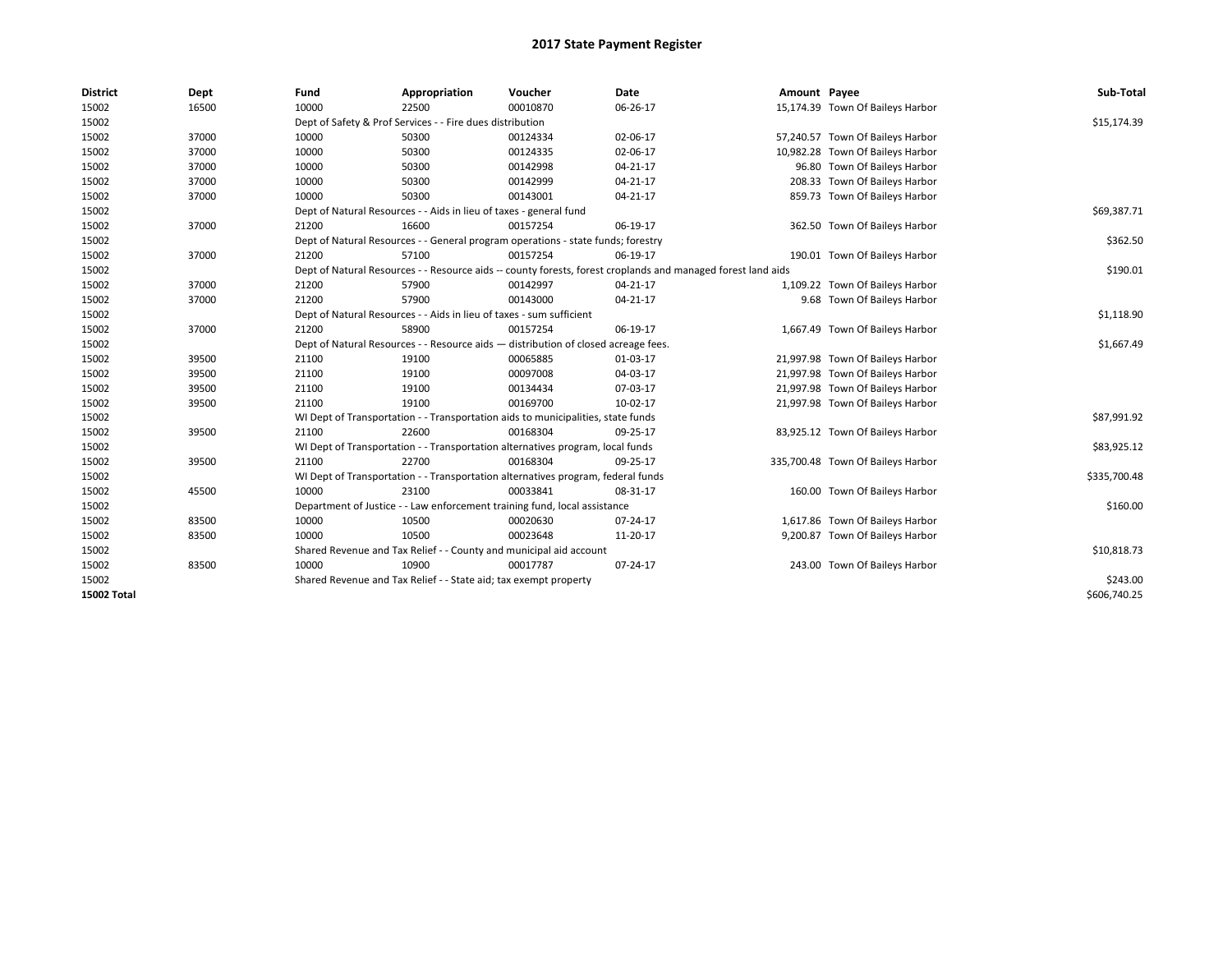| <b>District</b> | Dept  | Fund  | Appropriation                                                                                                | Voucher  | Date     | Amount Payee |                                   | Sub-Total    |  |  |
|-----------------|-------|-------|--------------------------------------------------------------------------------------------------------------|----------|----------|--------------|-----------------------------------|--------------|--|--|
| 15002           | 16500 | 10000 | 22500                                                                                                        | 00010870 | 06-26-17 |              | 15,174.39 Town Of Baileys Harbor  |              |  |  |
| 15002           |       |       | Dept of Safety & Prof Services - - Fire dues distribution                                                    |          |          |              |                                   | \$15,174.39  |  |  |
| 15002           | 37000 | 10000 | 50300                                                                                                        | 00124334 | 02-06-17 |              | 57,240.57 Town Of Baileys Harbor  |              |  |  |
| 15002           | 37000 | 10000 | 50300                                                                                                        | 00124335 | 02-06-17 |              | 10,982.28 Town Of Baileys Harbor  |              |  |  |
| 15002           | 37000 | 10000 | 50300                                                                                                        | 00142998 | 04-21-17 |              | 96.80 Town Of Baileys Harbor      |              |  |  |
| 15002           | 37000 | 10000 | 50300                                                                                                        | 00142999 | 04-21-17 |              | 208.33 Town Of Baileys Harbor     |              |  |  |
| 15002           | 37000 | 10000 | 50300                                                                                                        | 00143001 | 04-21-17 |              | 859.73 Town Of Baileys Harbor     |              |  |  |
| 15002           |       |       | Dept of Natural Resources - - Aids in lieu of taxes - general fund                                           |          |          |              |                                   | \$69,387.71  |  |  |
| 15002           | 37000 | 21200 | 16600                                                                                                        | 00157254 | 06-19-17 |              | 362.50 Town Of Baileys Harbor     |              |  |  |
| 15002           |       |       | Dept of Natural Resources - - General program operations - state funds; forestry                             |          |          |              |                                   | \$362.50     |  |  |
| 15002           | 37000 | 21200 | 57100                                                                                                        | 00157254 | 06-19-17 |              | 190.01 Town Of Baileys Harbor     |              |  |  |
| 15002           |       |       | Dept of Natural Resources - - Resource aids -- county forests, forest croplands and managed forest land aids |          |          |              |                                   |              |  |  |
| 15002           | 37000 | 21200 | 57900                                                                                                        | 00142997 | 04-21-17 |              | 1,109.22 Town Of Baileys Harbor   |              |  |  |
| 15002           | 37000 | 21200 | 57900                                                                                                        | 00143000 | 04-21-17 |              | 9.68 Town Of Baileys Harbor       |              |  |  |
| 15002           |       |       | Dept of Natural Resources - - Aids in lieu of taxes - sum sufficient                                         |          |          |              |                                   |              |  |  |
| 15002           | 37000 | 21200 | 58900                                                                                                        | 00157254 | 06-19-17 |              | 1,667.49 Town Of Baileys Harbor   |              |  |  |
| 15002           |       |       | Dept of Natural Resources - - Resource aids - distribution of closed acreage fees.                           |          |          |              |                                   |              |  |  |
| 15002           | 39500 | 21100 | 19100                                                                                                        | 00065885 | 01-03-17 |              | 21,997.98 Town Of Baileys Harbor  |              |  |  |
| 15002           | 39500 | 21100 | 19100                                                                                                        | 00097008 | 04-03-17 |              | 21,997.98 Town Of Baileys Harbor  |              |  |  |
| 15002           | 39500 | 21100 | 19100                                                                                                        | 00134434 | 07-03-17 |              | 21,997.98 Town Of Baileys Harbor  |              |  |  |
| 15002           | 39500 | 21100 | 19100                                                                                                        | 00169700 | 10-02-17 |              | 21,997.98 Town Of Baileys Harbor  |              |  |  |
| 15002           |       |       | WI Dept of Transportation - - Transportation aids to municipalities, state funds                             |          |          |              |                                   | \$87,991.92  |  |  |
| 15002           | 39500 | 21100 | 22600                                                                                                        | 00168304 | 09-25-17 |              | 83,925.12 Town Of Baileys Harbor  |              |  |  |
| 15002           |       |       | WI Dept of Transportation - - Transportation alternatives program, local funds                               |          |          |              |                                   | \$83,925.12  |  |  |
| 15002           | 39500 | 21100 | 22700                                                                                                        | 00168304 | 09-25-17 |              | 335,700.48 Town Of Baileys Harbor |              |  |  |
| 15002           |       |       | WI Dept of Transportation - - Transportation alternatives program, federal funds                             |          |          |              |                                   | \$335,700.48 |  |  |
| 15002           | 45500 | 10000 | 23100                                                                                                        | 00033841 | 08-31-17 |              | 160.00 Town Of Baileys Harbor     |              |  |  |
| 15002           |       |       | Department of Justice - - Law enforcement training fund, local assistance                                    |          |          |              |                                   | \$160.00     |  |  |
| 15002           | 83500 | 10000 | 10500                                                                                                        | 00020630 | 07-24-17 |              | 1,617.86 Town Of Baileys Harbor   |              |  |  |
| 15002           | 83500 | 10000 | 10500                                                                                                        | 00023648 | 11-20-17 |              | 9,200.87 Town Of Baileys Harbor   |              |  |  |
| 15002           |       |       | Shared Revenue and Tax Relief - - County and municipal aid account                                           |          |          |              |                                   | \$10,818.73  |  |  |
| 15002           | 83500 | 10000 | 10900                                                                                                        | 00017787 | 07-24-17 |              | 243.00 Town Of Baileys Harbor     |              |  |  |
| 15002           |       |       | Shared Revenue and Tax Relief - - State aid; tax exempt property                                             |          |          |              |                                   | \$243.00     |  |  |
| 15002 Total     |       |       |                                                                                                              |          |          |              |                                   | \$606,740.25 |  |  |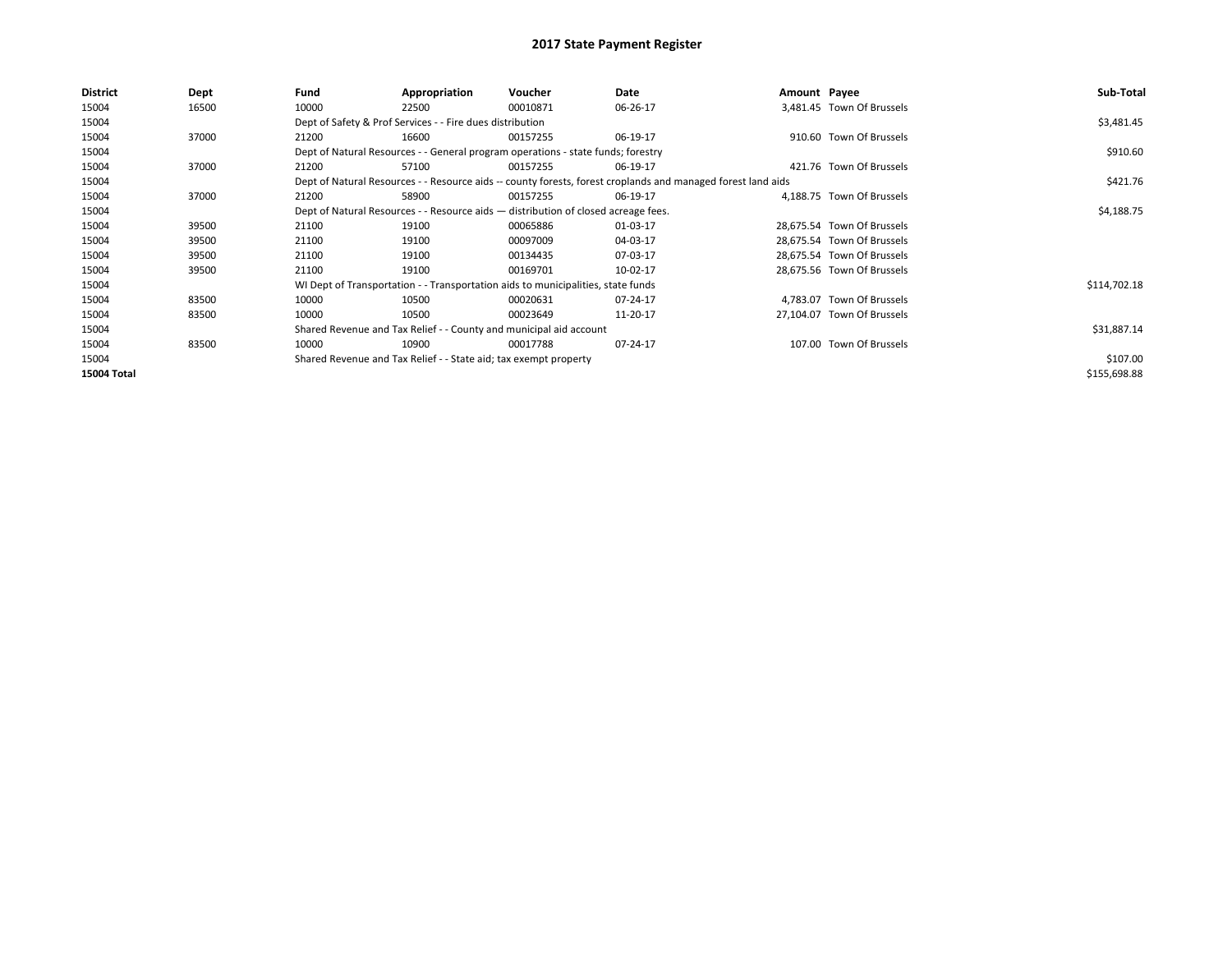| District           | Dept  | Fund                                                                               | Appropriation                                                                                                | Voucher    | Date     | Amount Payee |                            | Sub-Total    |
|--------------------|-------|------------------------------------------------------------------------------------|--------------------------------------------------------------------------------------------------------------|------------|----------|--------------|----------------------------|--------------|
| 15004              | 16500 | 10000                                                                              | 22500                                                                                                        | 00010871   | 06-26-17 |              | 3.481.45 Town Of Brussels  |              |
| 15004              |       |                                                                                    | Dept of Safety & Prof Services - - Fire dues distribution                                                    |            |          |              |                            | \$3,481.45   |
| 15004              | 37000 | 21200                                                                              | 16600                                                                                                        | 00157255   | 06-19-17 |              | 910.60 Town Of Brussels    |              |
| 15004              |       | Dept of Natural Resources - - General program operations - state funds; forestry   |                                                                                                              | \$910.60   |          |              |                            |              |
| 15004              | 37000 | 21200                                                                              | 57100                                                                                                        | 00157255   | 06-19-17 |              | 421.76 Town Of Brussels    |              |
| 15004              |       |                                                                                    | Dept of Natural Resources - - Resource aids -- county forests, forest croplands and managed forest land aids |            | \$421.76 |              |                            |              |
| 15004              | 37000 | 21200                                                                              | 58900                                                                                                        | 00157255   | 06-19-17 |              | 4.188.75 Town Of Brussels  |              |
| 15004              |       | Dept of Natural Resources - - Resource aids - distribution of closed acreage fees. |                                                                                                              | \$4,188.75 |          |              |                            |              |
| 15004              | 39500 | 21100                                                                              | 19100                                                                                                        | 00065886   | 01-03-17 |              | 28,675.54 Town Of Brussels |              |
| 15004              | 39500 | 21100                                                                              | 19100                                                                                                        | 00097009   | 04-03-17 |              | 28,675.54 Town Of Brussels |              |
| 15004              | 39500 | 21100                                                                              | 19100                                                                                                        | 00134435   | 07-03-17 |              | 28,675.54 Town Of Brussels |              |
| 15004              | 39500 | 21100                                                                              | 19100                                                                                                        | 00169701   | 10-02-17 |              | 28,675.56 Town Of Brussels |              |
| 15004              |       |                                                                                    | WI Dept of Transportation - - Transportation aids to municipalities, state funds                             |            |          |              |                            | \$114,702.18 |
| 15004              | 83500 | 10000                                                                              | 10500                                                                                                        | 00020631   | 07-24-17 |              | 4,783.07 Town Of Brussels  |              |
| 15004              | 83500 | 10000                                                                              | 10500                                                                                                        | 00023649   | 11-20-17 |              | 27,104.07 Town Of Brussels |              |
| 15004              |       |                                                                                    | Shared Revenue and Tax Relief - - County and municipal aid account                                           |            |          |              |                            | \$31,887.14  |
| 15004              | 83500 | 10000                                                                              | 10900                                                                                                        | 00017788   | 07-24-17 |              | 107.00 Town Of Brussels    |              |
| 15004              |       |                                                                                    | Shared Revenue and Tax Relief - - State aid; tax exempt property                                             |            |          |              |                            | \$107.00     |
| <b>15004 Total</b> |       |                                                                                    |                                                                                                              |            |          |              |                            | \$155,698.88 |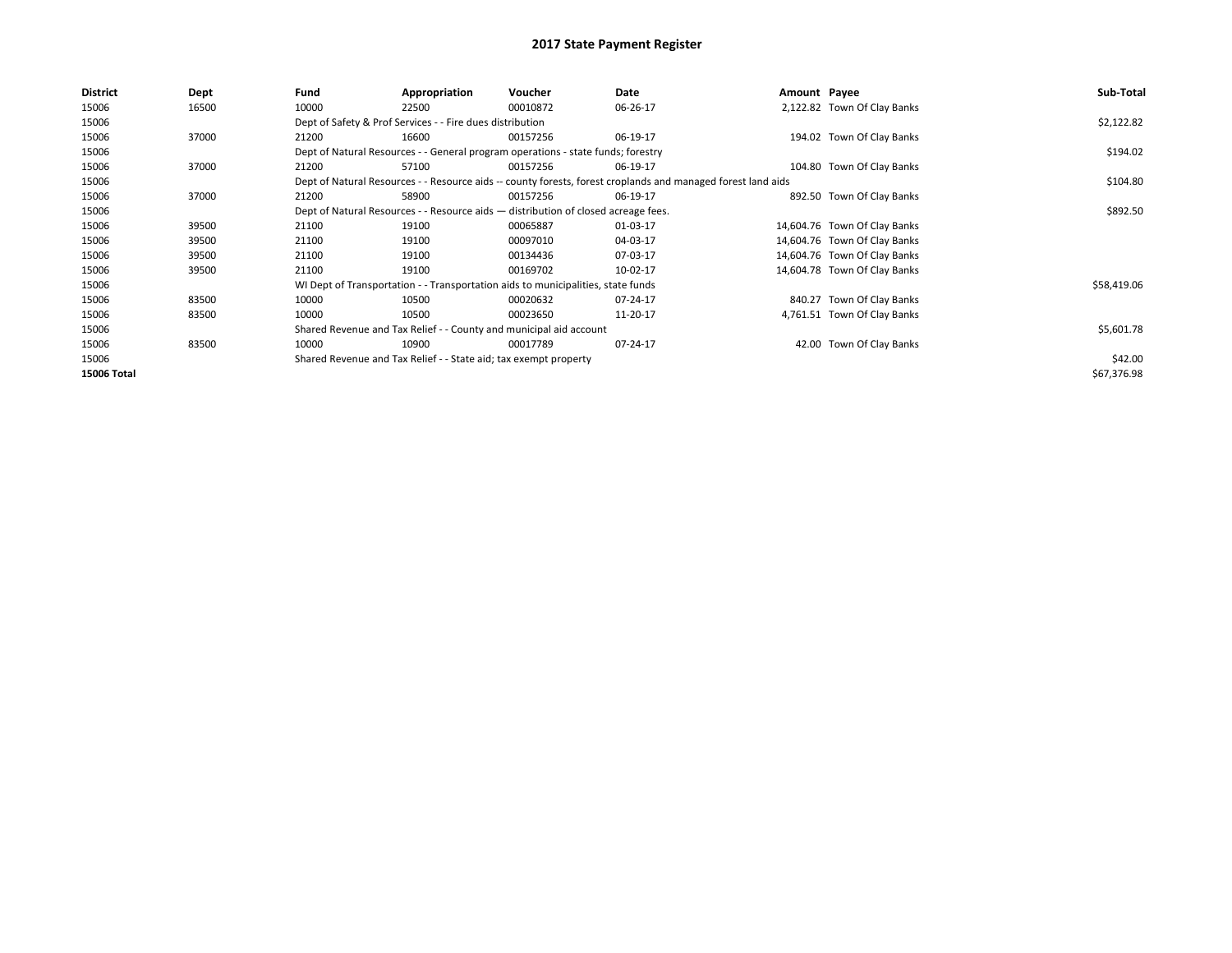| <b>District</b> | Dept  | Fund  | Appropriation                                                                                                | Voucher  | Date     | Amount Payee |                              | Sub-Total   |  |  |
|-----------------|-------|-------|--------------------------------------------------------------------------------------------------------------|----------|----------|--------------|------------------------------|-------------|--|--|
| 15006           | 16500 | 10000 | 22500                                                                                                        | 00010872 | 06-26-17 |              | 2,122.82 Town Of Clay Banks  |             |  |  |
| 15006           |       |       | Dept of Safety & Prof Services - - Fire dues distribution                                                    |          |          |              |                              | \$2,122.82  |  |  |
| 15006           | 37000 | 21200 | 16600                                                                                                        | 00157256 | 06-19-17 |              | 194.02 Town Of Clay Banks    |             |  |  |
| 15006           |       |       | Dept of Natural Resources - - General program operations - state funds; forestry                             |          |          |              |                              |             |  |  |
| 15006           | 37000 | 21200 | 57100                                                                                                        | 00157256 | 06-19-17 |              | 104.80 Town Of Clay Banks    |             |  |  |
| 15006           |       |       | Dept of Natural Resources - - Resource aids -- county forests, forest croplands and managed forest land aids |          | \$104.80 |              |                              |             |  |  |
| 15006           | 37000 | 21200 | 58900                                                                                                        | 00157256 | 06-19-17 |              | 892.50 Town Of Clay Banks    |             |  |  |
| 15006           |       |       | Dept of Natural Resources - - Resource aids - distribution of closed acreage fees.                           |          |          |              |                              | \$892.50    |  |  |
| 15006           | 39500 | 21100 | 19100                                                                                                        | 00065887 | 01-03-17 |              | 14,604.76 Town Of Clay Banks |             |  |  |
| 15006           | 39500 | 21100 | 19100                                                                                                        | 00097010 | 04-03-17 |              | 14,604.76 Town Of Clay Banks |             |  |  |
| 15006           | 39500 | 21100 | 19100                                                                                                        | 00134436 | 07-03-17 |              | 14,604.76 Town Of Clay Banks |             |  |  |
| 15006           | 39500 | 21100 | 19100                                                                                                        | 00169702 | 10-02-17 |              | 14,604.78 Town Of Clay Banks |             |  |  |
| 15006           |       |       | WI Dept of Transportation - - Transportation aids to municipalities, state funds                             |          |          |              |                              | \$58,419.06 |  |  |
| 15006           | 83500 | 10000 | 10500                                                                                                        | 00020632 | 07-24-17 |              | 840.27 Town Of Clay Banks    |             |  |  |
| 15006           | 83500 | 10000 | 10500                                                                                                        | 00023650 | 11-20-17 |              | 4,761.51 Town Of Clay Banks  |             |  |  |
| 15006           |       |       | Shared Revenue and Tax Relief - - County and municipal aid account                                           |          |          |              |                              | \$5,601.78  |  |  |
| 15006           | 83500 | 10000 | 10900                                                                                                        | 00017789 | 07-24-17 |              | 42.00 Town Of Clay Banks     |             |  |  |
| 15006           |       |       | Shared Revenue and Tax Relief - - State aid; tax exempt property                                             |          |          |              |                              | \$42.00     |  |  |
| 15006 Total     |       |       |                                                                                                              |          |          |              |                              | \$67,376.98 |  |  |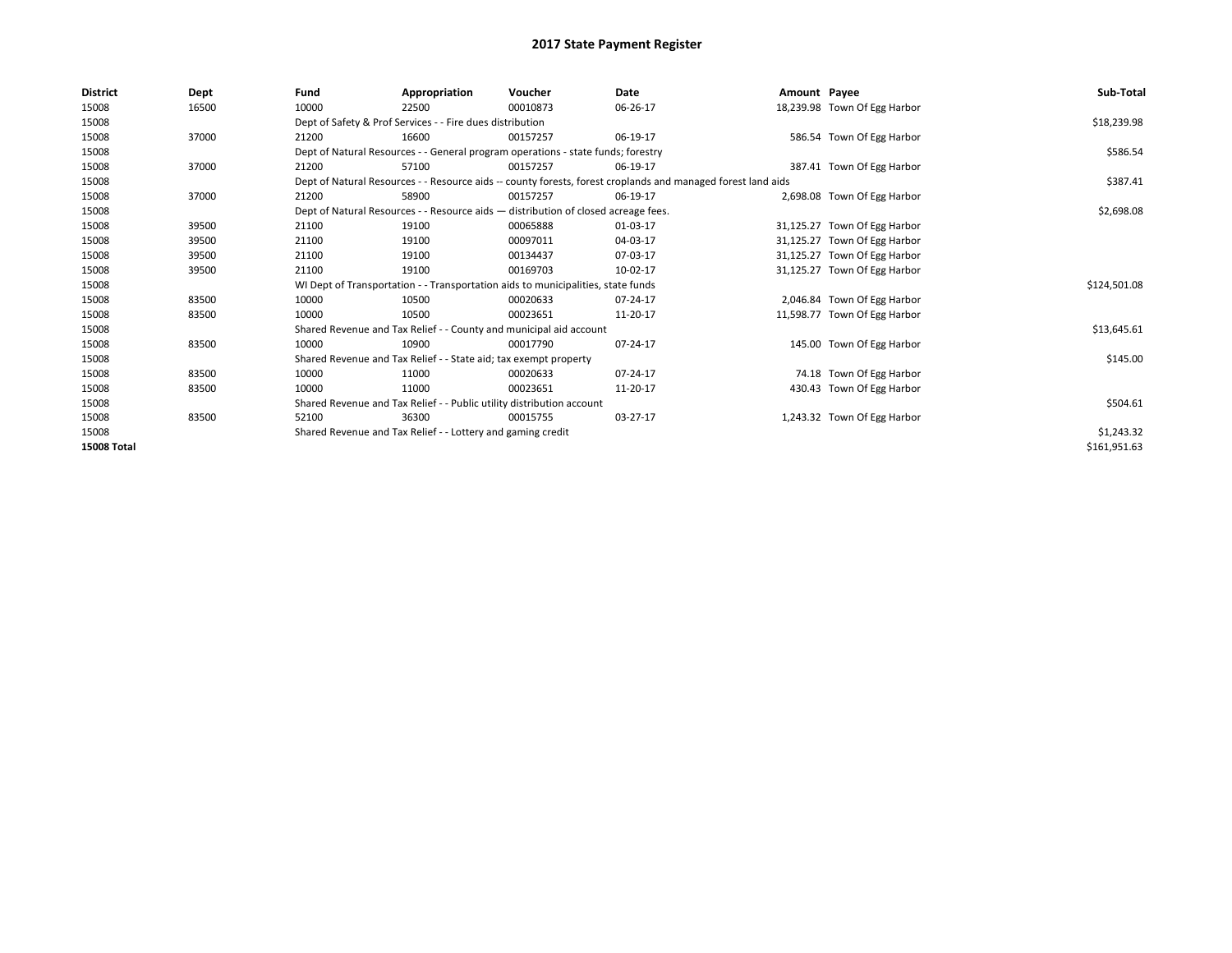| <b>District</b>    | <b>Dept</b> | Fund                                                                                                         | Appropriation                                                                      | Voucher    | Date           | Amount Payee |                              | Sub-Total    |  |  |
|--------------------|-------------|--------------------------------------------------------------------------------------------------------------|------------------------------------------------------------------------------------|------------|----------------|--------------|------------------------------|--------------|--|--|
| 15008              | 16500       | 10000                                                                                                        | 22500                                                                              | 00010873   | 06-26-17       |              | 18,239.98 Town Of Egg Harbor |              |  |  |
| 15008              |             |                                                                                                              | Dept of Safety & Prof Services - - Fire dues distribution                          |            |                |              |                              | \$18,239.98  |  |  |
| 15008              | 37000       | 21200                                                                                                        | 16600                                                                              | 00157257   | 06-19-17       |              | 586.54 Town Of Egg Harbor    |              |  |  |
| 15008              |             | Dept of Natural Resources - - General program operations - state funds; forestry                             |                                                                                    | \$586.54   |                |              |                              |              |  |  |
| 15008              | 37000       | 21200                                                                                                        | 57100                                                                              | 00157257   | 06-19-17       |              | 387.41 Town Of Egg Harbor    |              |  |  |
| 15008              |             | Dept of Natural Resources - - Resource aids -- county forests, forest croplands and managed forest land aids |                                                                                    | \$387.41   |                |              |                              |              |  |  |
| 15008              | 37000       | 21200                                                                                                        | 58900                                                                              | 00157257   | 06-19-17       |              | 2,698.08 Town Of Egg Harbor  |              |  |  |
| 15008              |             |                                                                                                              | Dept of Natural Resources - - Resource aids - distribution of closed acreage fees. |            |                |              |                              |              |  |  |
| 15008              | 39500       | 21100                                                                                                        | 19100                                                                              | 00065888   | 01-03-17       |              | 31,125.27 Town Of Egg Harbor |              |  |  |
| 15008              | 39500       | 21100                                                                                                        | 19100                                                                              | 00097011   | 04-03-17       |              | 31,125.27 Town Of Egg Harbor |              |  |  |
| 15008              | 39500       | 21100                                                                                                        | 19100                                                                              | 00134437   | 07-03-17       |              | 31,125.27 Town Of Egg Harbor |              |  |  |
| 15008              | 39500       | 21100                                                                                                        | 19100                                                                              | 00169703   | 10-02-17       |              | 31,125.27 Town Of Egg Harbor |              |  |  |
| 15008              |             |                                                                                                              | WI Dept of Transportation - - Transportation aids to municipalities, state funds   |            |                |              |                              | \$124,501.08 |  |  |
| 15008              | 83500       | 10000                                                                                                        | 10500                                                                              | 00020633   | 07-24-17       |              | 2,046.84 Town Of Egg Harbor  |              |  |  |
| 15008              | 83500       | 10000                                                                                                        | 10500                                                                              | 00023651   | 11-20-17       |              | 11,598.77 Town Of Egg Harbor |              |  |  |
| 15008              |             |                                                                                                              | Shared Revenue and Tax Relief - - County and municipal aid account                 |            |                |              |                              | \$13,645.61  |  |  |
| 15008              | 83500       | 10000                                                                                                        | 10900                                                                              | 00017790   | 07-24-17       |              | 145.00 Town Of Egg Harbor    |              |  |  |
| 15008              |             |                                                                                                              | Shared Revenue and Tax Relief - - State aid; tax exempt property                   |            |                |              |                              | \$145.00     |  |  |
| 15008              | 83500       | 10000                                                                                                        | 11000                                                                              | 00020633   | $07 - 24 - 17$ |              | 74.18 Town Of Egg Harbor     |              |  |  |
| 15008              | 83500       | 10000                                                                                                        | 11000                                                                              | 00023651   | 11-20-17       |              | 430.43 Town Of Egg Harbor    |              |  |  |
| 15008              |             | Shared Revenue and Tax Relief - - Public utility distribution account                                        |                                                                                    |            |                |              |                              | \$504.61     |  |  |
| 15008              | 83500       | 52100                                                                                                        | 36300                                                                              | 00015755   | 03-27-17       |              | 1,243.32 Town Of Egg Harbor  |              |  |  |
| 15008              |             | Shared Revenue and Tax Relief - - Lottery and gaming credit                                                  |                                                                                    | \$1,243.32 |                |              |                              |              |  |  |
| <b>15008 Total</b> |             |                                                                                                              |                                                                                    |            |                |              |                              | \$161,951.63 |  |  |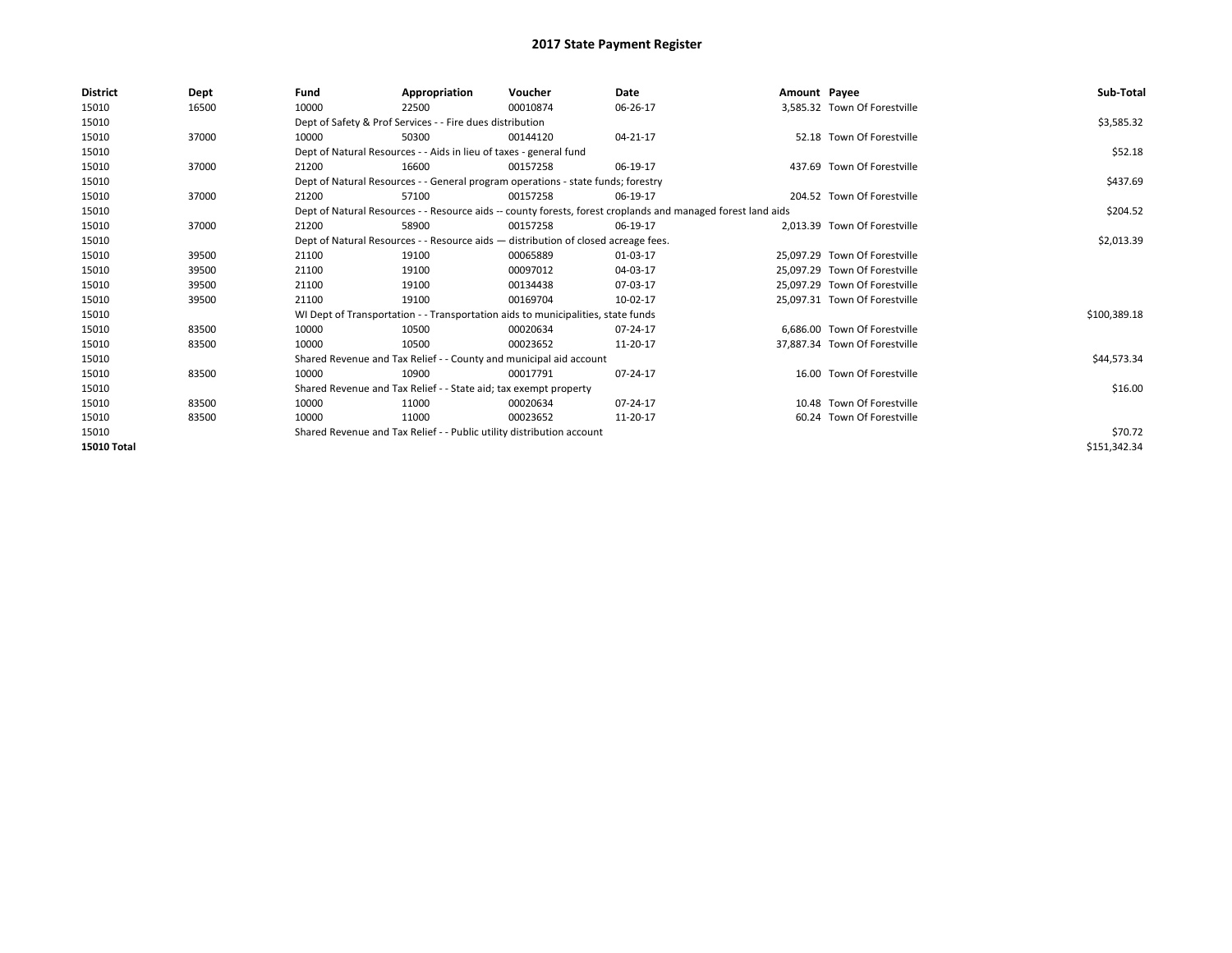| <b>District</b>    | <b>Dept</b> | Fund                                                                  | Appropriation                                                                                                | Voucher  | Date     | Amount Payee |                               | Sub-Total    |  |
|--------------------|-------------|-----------------------------------------------------------------------|--------------------------------------------------------------------------------------------------------------|----------|----------|--------------|-------------------------------|--------------|--|
| 15010              | 16500       | 10000                                                                 | 22500                                                                                                        | 00010874 | 06-26-17 |              | 3,585.32 Town Of Forestville  |              |  |
| 15010              |             |                                                                       | Dept of Safety & Prof Services - - Fire dues distribution                                                    |          |          |              |                               | \$3,585.32   |  |
| 15010              | 37000       | 10000                                                                 | 50300                                                                                                        | 00144120 | 04-21-17 |              | 52.18 Town Of Forestville     |              |  |
| 15010              |             |                                                                       | Dept of Natural Resources - - Aids in lieu of taxes - general fund                                           |          |          |              |                               |              |  |
| 15010              | 37000       | 21200                                                                 | 16600                                                                                                        | 00157258 | 06-19-17 |              | 437.69 Town Of Forestville    |              |  |
| 15010              |             |                                                                       | Dept of Natural Resources - - General program operations - state funds; forestry                             |          |          |              |                               | \$437.69     |  |
| 15010              | 37000       | 21200                                                                 | 57100                                                                                                        | 00157258 | 06-19-17 |              | 204.52 Town Of Forestville    |              |  |
| 15010              |             |                                                                       | Dept of Natural Resources - - Resource aids -- county forests, forest croplands and managed forest land aids |          | \$204.52 |              |                               |              |  |
| 15010              | 37000       | 21200                                                                 | 58900                                                                                                        | 00157258 | 06-19-17 |              | 2,013.39 Town Of Forestville  |              |  |
| 15010              |             |                                                                       | Dept of Natural Resources - - Resource aids - distribution of closed acreage fees.                           |          |          |              |                               | \$2,013.39   |  |
| 15010              | 39500       | 21100                                                                 | 19100                                                                                                        | 00065889 | 01-03-17 |              | 25.097.29 Town Of Forestville |              |  |
| 15010              | 39500       | 21100                                                                 | 19100                                                                                                        | 00097012 | 04-03-17 |              | 25.097.29 Town Of Forestville |              |  |
| 15010              | 39500       | 21100                                                                 | 19100                                                                                                        | 00134438 | 07-03-17 |              | 25,097.29 Town Of Forestville |              |  |
| 15010              | 39500       | 21100                                                                 | 19100                                                                                                        | 00169704 | 10-02-17 |              | 25.097.31 Town Of Forestville |              |  |
| 15010              |             |                                                                       | WI Dept of Transportation - - Transportation aids to municipalities, state funds                             |          |          |              |                               | \$100,389.18 |  |
| 15010              | 83500       | 10000                                                                 | 10500                                                                                                        | 00020634 | 07-24-17 |              | 6.686.00 Town Of Forestville  |              |  |
| 15010              | 83500       | 10000                                                                 | 10500                                                                                                        | 00023652 | 11-20-17 |              | 37.887.34 Town Of Forestville |              |  |
| 15010              |             |                                                                       | Shared Revenue and Tax Relief - - County and municipal aid account                                           |          |          |              |                               | \$44,573.34  |  |
| 15010              | 83500       | 10000                                                                 | 10900                                                                                                        | 00017791 | 07-24-17 |              | 16.00 Town Of Forestville     |              |  |
| 15010              |             |                                                                       | Shared Revenue and Tax Relief - - State aid; tax exempt property                                             |          |          |              |                               | \$16.00      |  |
| 15010              | 83500       | 10000                                                                 | 11000                                                                                                        | 00020634 | 07-24-17 |              | 10.48 Town Of Forestville     |              |  |
| 15010              | 83500       | 10000                                                                 | 11000                                                                                                        | 00023652 | 11-20-17 |              | 60.24 Town Of Forestville     |              |  |
| 15010              |             | Shared Revenue and Tax Relief - - Public utility distribution account |                                                                                                              | \$70.72  |          |              |                               |              |  |
| <b>15010 Total</b> |             |                                                                       |                                                                                                              |          |          |              |                               | \$151,342.34 |  |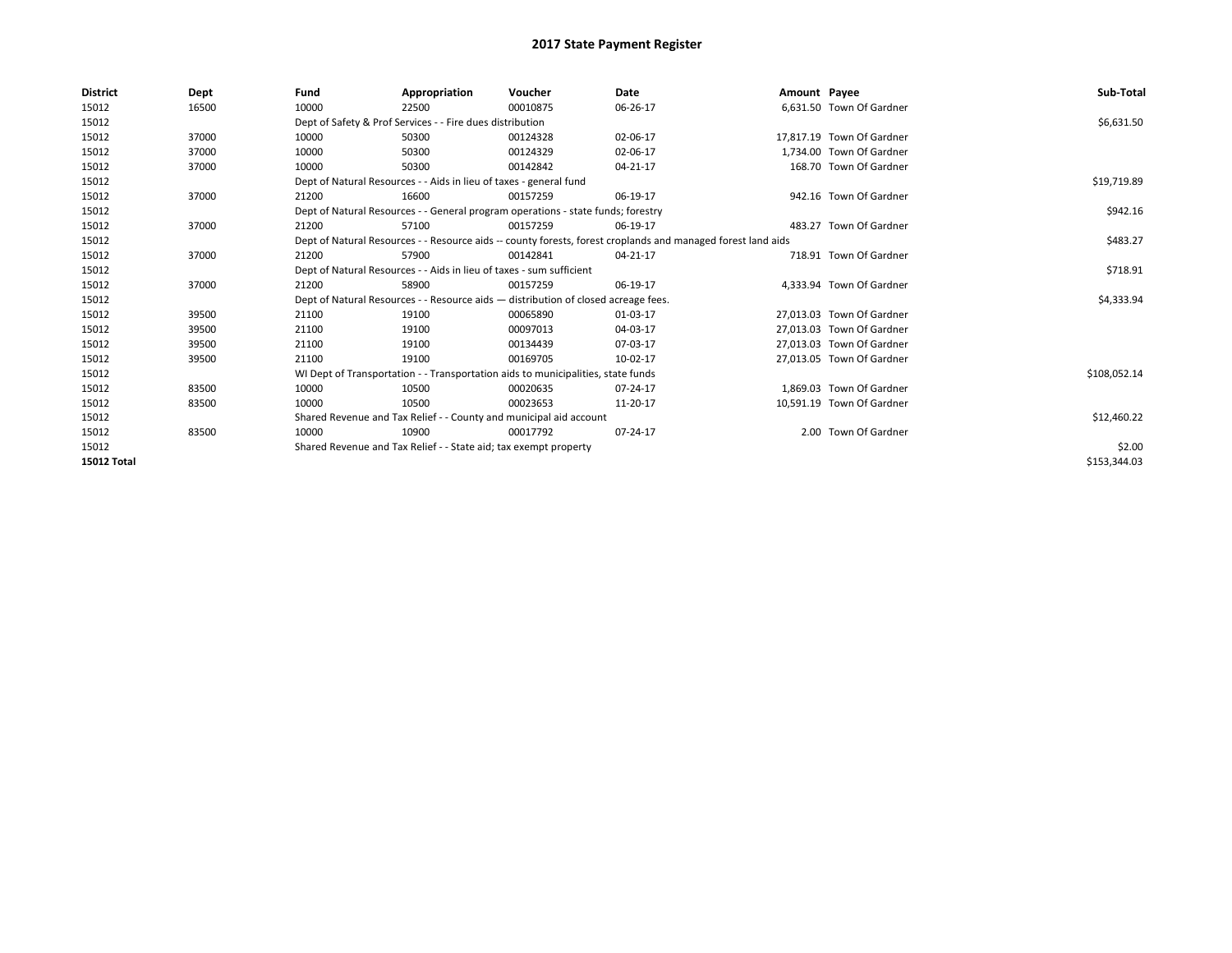| <b>District</b> | Dept  | Fund                                                                             | Appropriation                                                                      | Voucher  | Date                                                                                                         | Amount Payee |                           | Sub-Total    |  |  |
|-----------------|-------|----------------------------------------------------------------------------------|------------------------------------------------------------------------------------|----------|--------------------------------------------------------------------------------------------------------------|--------------|---------------------------|--------------|--|--|
| 15012           | 16500 | 10000                                                                            | 22500                                                                              | 00010875 | 06-26-17                                                                                                     |              | 6,631.50 Town Of Gardner  |              |  |  |
| 15012           |       |                                                                                  | Dept of Safety & Prof Services - - Fire dues distribution                          |          |                                                                                                              |              |                           | \$6,631.50   |  |  |
| 15012           | 37000 | 10000                                                                            | 50300                                                                              | 00124328 | 02-06-17                                                                                                     |              | 17.817.19 Town Of Gardner |              |  |  |
| 15012           | 37000 | 10000                                                                            | 50300                                                                              | 00124329 | 02-06-17                                                                                                     |              | 1.734.00 Town Of Gardner  |              |  |  |
| 15012           | 37000 | 10000                                                                            | 50300                                                                              | 00142842 | 04-21-17                                                                                                     |              | 168.70 Town Of Gardner    |              |  |  |
| 15012           |       |                                                                                  | Dept of Natural Resources - - Aids in lieu of taxes - general fund                 |          |                                                                                                              |              |                           |              |  |  |
| 15012           | 37000 | 21200                                                                            | 16600                                                                              | 00157259 | 06-19-17                                                                                                     |              | 942.16 Town Of Gardner    |              |  |  |
| 15012           |       | Dept of Natural Resources - - General program operations - state funds; forestry |                                                                                    | \$942.16 |                                                                                                              |              |                           |              |  |  |
| 15012           | 37000 | 21200                                                                            | 57100                                                                              | 00157259 | 06-19-17                                                                                                     |              | 483.27 Town Of Gardner    |              |  |  |
| 15012           |       |                                                                                  |                                                                                    |          | Dept of Natural Resources - - Resource aids -- county forests, forest croplands and managed forest land aids |              |                           | \$483.27     |  |  |
| 15012           | 37000 | 21200                                                                            | 57900                                                                              | 00142841 | 04-21-17                                                                                                     |              | 718.91 Town Of Gardner    |              |  |  |
| 15012           |       | Dept of Natural Resources - - Aids in lieu of taxes - sum sufficient             |                                                                                    | \$718.91 |                                                                                                              |              |                           |              |  |  |
| 15012           | 37000 | 21200                                                                            | 58900                                                                              | 00157259 | 06-19-17                                                                                                     |              | 4,333.94 Town Of Gardner  |              |  |  |
| 15012           |       |                                                                                  | Dept of Natural Resources - - Resource aids - distribution of closed acreage fees. |          |                                                                                                              |              |                           | \$4,333.94   |  |  |
| 15012           | 39500 | 21100                                                                            | 19100                                                                              | 00065890 | 01-03-17                                                                                                     |              | 27,013.03 Town Of Gardner |              |  |  |
| 15012           | 39500 | 21100                                                                            | 19100                                                                              | 00097013 | 04-03-17                                                                                                     |              | 27,013.03 Town Of Gardner |              |  |  |
| 15012           | 39500 | 21100                                                                            | 19100                                                                              | 00134439 | 07-03-17                                                                                                     |              | 27,013.03 Town Of Gardner |              |  |  |
| 15012           | 39500 | 21100                                                                            | 19100                                                                              | 00169705 | 10-02-17                                                                                                     |              | 27,013.05 Town Of Gardner |              |  |  |
| 15012           |       |                                                                                  | WI Dept of Transportation - - Transportation aids to municipalities, state funds   |          |                                                                                                              |              |                           | \$108,052.14 |  |  |
| 15012           | 83500 | 10000                                                                            | 10500                                                                              | 00020635 | 07-24-17                                                                                                     |              | 1.869.03 Town Of Gardner  |              |  |  |
| 15012           | 83500 | 10000                                                                            | 10500                                                                              | 00023653 | 11-20-17                                                                                                     |              | 10,591.19 Town Of Gardner |              |  |  |
| 15012           |       |                                                                                  | Shared Revenue and Tax Relief - - County and municipal aid account                 |          |                                                                                                              |              |                           | \$12,460.22  |  |  |
| 15012           | 83500 | 10000                                                                            | 10900                                                                              | 00017792 | 07-24-17                                                                                                     |              | 2.00 Town Of Gardner      |              |  |  |
| 15012           |       |                                                                                  | Shared Revenue and Tax Relief - - State aid; tax exempt property                   |          |                                                                                                              |              |                           | \$2.00       |  |  |
| 15012 Total     |       |                                                                                  |                                                                                    |          |                                                                                                              |              |                           | \$153,344.03 |  |  |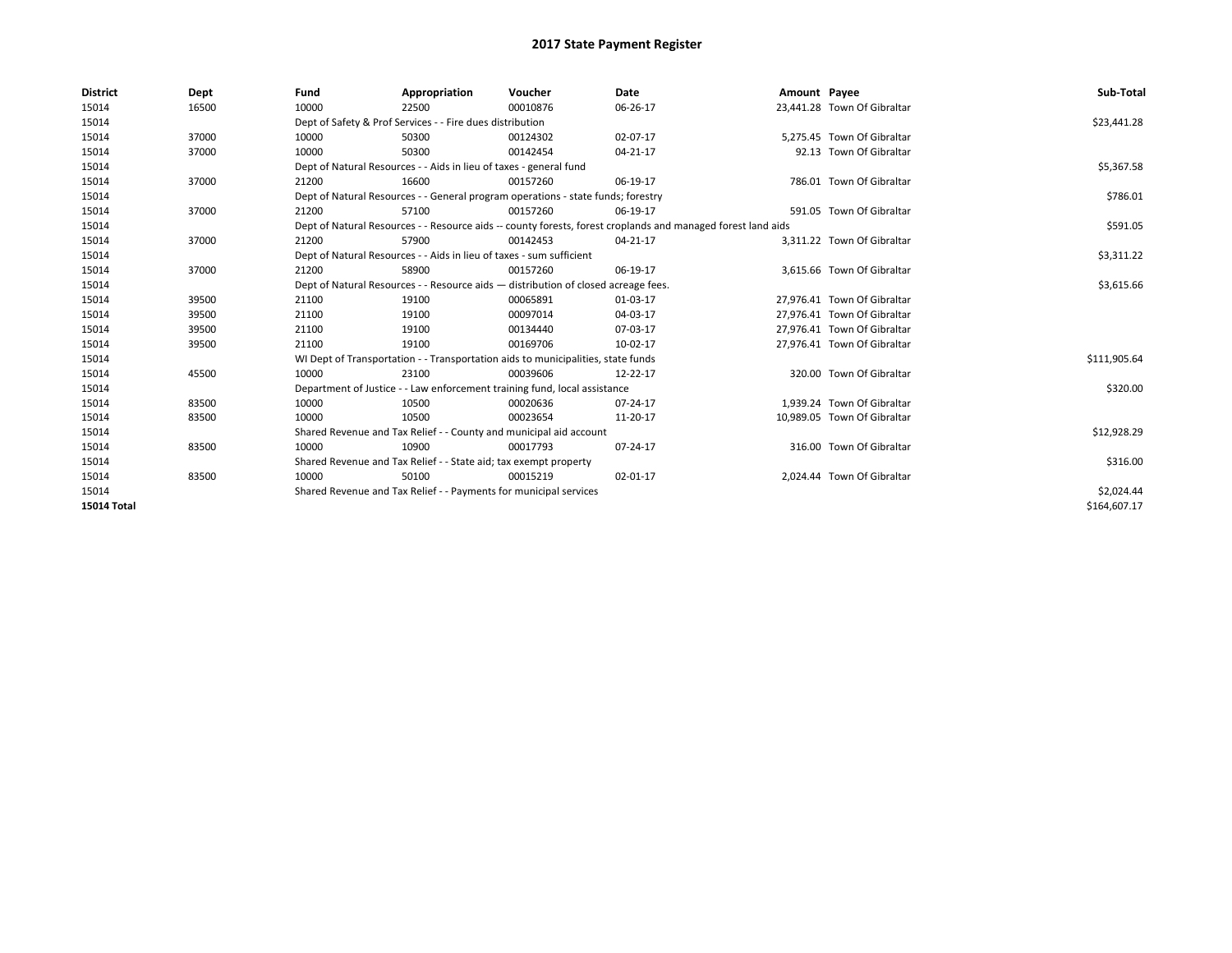| <b>District</b>    | Dept  | Fund  | Appropriation                                                                                                | Voucher  | Date       | Amount Payee |                             | Sub-Total    |  |  |
|--------------------|-------|-------|--------------------------------------------------------------------------------------------------------------|----------|------------|--------------|-----------------------------|--------------|--|--|
| 15014              | 16500 | 10000 | 22500                                                                                                        | 00010876 | 06-26-17   |              | 23,441.28 Town Of Gibraltar |              |  |  |
| 15014              |       |       | Dept of Safety & Prof Services - - Fire dues distribution                                                    |          |            |              |                             | \$23,441.28  |  |  |
| 15014              | 37000 | 10000 | 50300                                                                                                        | 00124302 | 02-07-17   |              | 5.275.45 Town Of Gibraltar  |              |  |  |
| 15014              | 37000 | 10000 | 50300                                                                                                        | 00142454 | 04-21-17   |              | 92.13 Town Of Gibraltar     |              |  |  |
| 15014              |       |       | Dept of Natural Resources - - Aids in lieu of taxes - general fund                                           |          |            |              |                             |              |  |  |
| 15014              | 37000 | 21200 | 16600                                                                                                        | 00157260 | 06-19-17   |              | 786.01 Town Of Gibraltar    |              |  |  |
| 15014              |       |       | Dept of Natural Resources - - General program operations - state funds; forestry                             |          |            |              |                             |              |  |  |
| 15014              | 37000 | 21200 | 57100                                                                                                        | 00157260 | 06-19-17   |              | 591.05 Town Of Gibraltar    |              |  |  |
| 15014              |       |       | Dept of Natural Resources - - Resource aids -- county forests, forest croplands and managed forest land aids |          | \$591.05   |              |                             |              |  |  |
| 15014              | 37000 | 21200 | 57900                                                                                                        | 00142453 | 04-21-17   |              | 3,311.22 Town Of Gibraltar  |              |  |  |
| 15014              |       |       | Dept of Natural Resources - - Aids in lieu of taxes - sum sufficient                                         |          | \$3,311.22 |              |                             |              |  |  |
| 15014              | 37000 | 21200 | 58900                                                                                                        | 00157260 | 06-19-17   |              | 3,615.66 Town Of Gibraltar  |              |  |  |
| 15014              |       |       | Dept of Natural Resources - - Resource aids - distribution of closed acreage fees.                           |          | \$3,615.66 |              |                             |              |  |  |
| 15014              | 39500 | 21100 | 19100                                                                                                        | 00065891 | 01-03-17   |              | 27,976.41 Town Of Gibraltar |              |  |  |
| 15014              | 39500 | 21100 | 19100                                                                                                        | 00097014 | 04-03-17   |              | 27,976.41 Town Of Gibraltar |              |  |  |
| 15014              | 39500 | 21100 | 19100                                                                                                        | 00134440 | 07-03-17   |              | 27,976.41 Town Of Gibraltar |              |  |  |
| 15014              | 39500 | 21100 | 19100                                                                                                        | 00169706 | 10-02-17   |              | 27,976.41 Town Of Gibraltar |              |  |  |
| 15014              |       |       | WI Dept of Transportation - - Transportation aids to municipalities, state funds                             |          |            |              |                             | \$111,905.64 |  |  |
| 15014              | 45500 | 10000 | 23100                                                                                                        | 00039606 | 12-22-17   |              | 320.00 Town Of Gibraltar    |              |  |  |
| 15014              |       |       | Department of Justice - - Law enforcement training fund, local assistance                                    |          |            |              |                             | \$320.00     |  |  |
| 15014              | 83500 | 10000 | 10500                                                                                                        | 00020636 | 07-24-17   |              | 1,939.24 Town Of Gibraltar  |              |  |  |
| 15014              | 83500 | 10000 | 10500                                                                                                        | 00023654 | 11-20-17   |              | 10,989.05 Town Of Gibraltar |              |  |  |
| 15014              |       |       | Shared Revenue and Tax Relief - - County and municipal aid account                                           |          |            |              |                             | \$12,928.29  |  |  |
| 15014              | 83500 | 10000 | 10900                                                                                                        | 00017793 | 07-24-17   |              | 316.00 Town Of Gibraltar    |              |  |  |
| 15014              |       |       | Shared Revenue and Tax Relief - - State aid; tax exempt property                                             |          |            |              |                             | \$316.00     |  |  |
| 15014              | 83500 | 10000 | 50100                                                                                                        | 00015219 | 02-01-17   |              | 2,024.44 Town Of Gibraltar  |              |  |  |
| 15014              |       |       | Shared Revenue and Tax Relief - - Payments for municipal services                                            |          |            |              |                             | \$2,024.44   |  |  |
| <b>15014 Total</b> |       |       |                                                                                                              |          |            |              |                             | \$164,607.17 |  |  |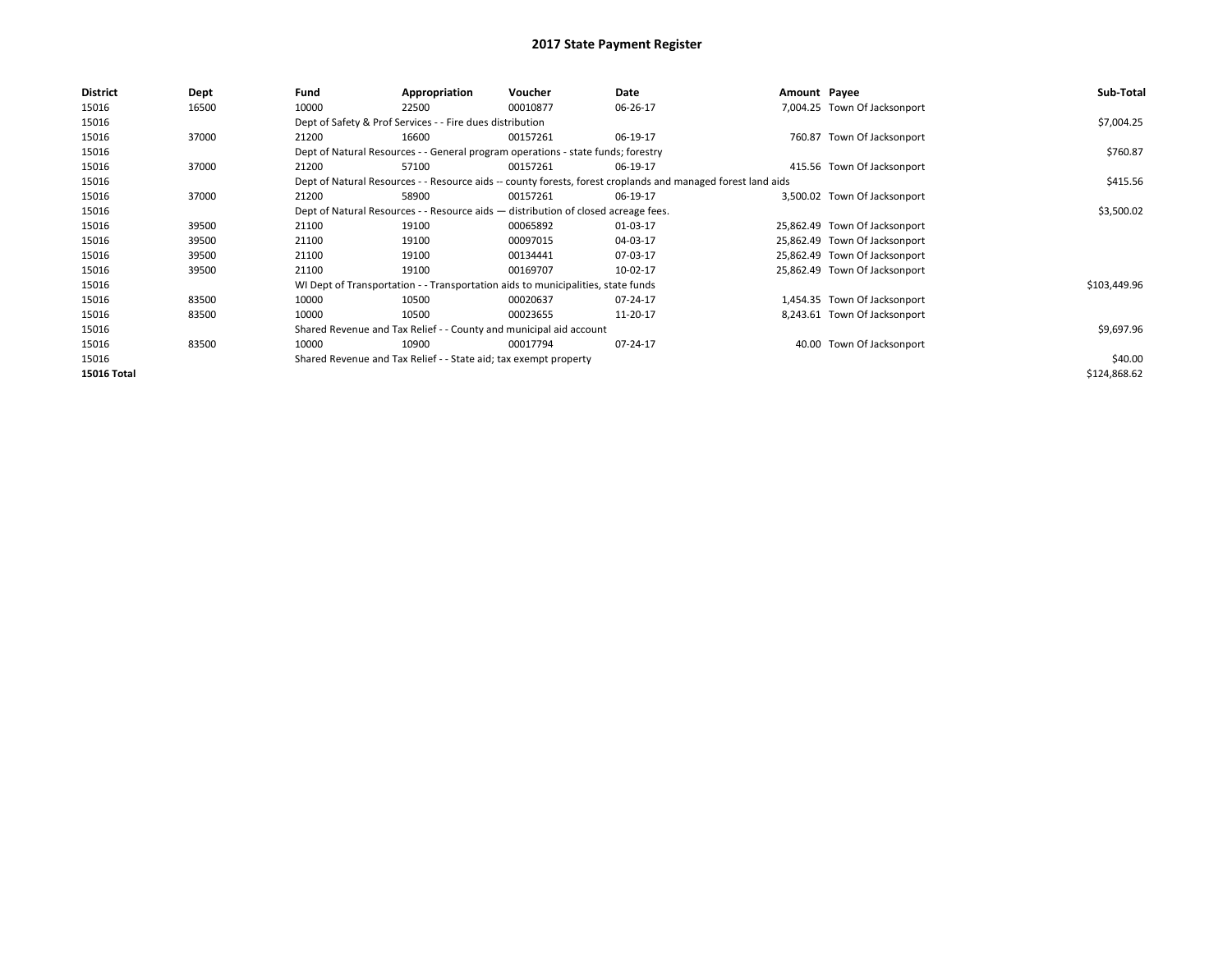| <b>District</b>    | Dept  | Fund  | Appropriation                                                                                                | Voucher  | Date     | Amount Payee |                               | Sub-Total    |  |  |  |
|--------------------|-------|-------|--------------------------------------------------------------------------------------------------------------|----------|----------|--------------|-------------------------------|--------------|--|--|--|
| 15016              | 16500 | 10000 | 22500                                                                                                        | 00010877 | 06-26-17 |              | 7,004.25 Town Of Jacksonport  |              |  |  |  |
| 15016              |       |       | Dept of Safety & Prof Services - - Fire dues distribution                                                    |          |          |              |                               | \$7,004.25   |  |  |  |
| 15016              | 37000 | 21200 | 16600                                                                                                        | 00157261 | 06-19-17 |              | 760.87 Town Of Jacksonport    |              |  |  |  |
| 15016              |       |       | Dept of Natural Resources - - General program operations - state funds; forestry                             |          |          |              |                               | \$760.87     |  |  |  |
| 15016              | 37000 | 21200 | 57100                                                                                                        | 00157261 | 06-19-17 |              | 415.56 Town Of Jacksonport    |              |  |  |  |
| 15016              |       |       | Dept of Natural Resources - - Resource aids -- county forests, forest croplands and managed forest land aids |          | \$415.56 |              |                               |              |  |  |  |
| 15016              | 37000 | 21200 | 58900                                                                                                        | 00157261 | 06-19-17 |              | 3,500.02 Town Of Jacksonport  |              |  |  |  |
| 15016              |       |       | Dept of Natural Resources - - Resource aids - distribution of closed acreage fees.                           |          |          |              |                               |              |  |  |  |
| 15016              | 39500 | 21100 | 19100                                                                                                        | 00065892 | 01-03-17 |              | 25,862.49 Town Of Jacksonport |              |  |  |  |
| 15016              | 39500 | 21100 | 19100                                                                                                        | 00097015 | 04-03-17 |              | 25,862.49 Town Of Jacksonport |              |  |  |  |
| 15016              | 39500 | 21100 | 19100                                                                                                        | 00134441 | 07-03-17 |              | 25,862.49 Town Of Jacksonport |              |  |  |  |
| 15016              | 39500 | 21100 | 19100                                                                                                        | 00169707 | 10-02-17 |              | 25,862.49 Town Of Jacksonport |              |  |  |  |
| 15016              |       |       | WI Dept of Transportation - - Transportation aids to municipalities, state funds                             |          |          |              |                               | \$103,449.96 |  |  |  |
| 15016              | 83500 | 10000 | 10500                                                                                                        | 00020637 | 07-24-17 |              | 1,454.35 Town Of Jacksonport  |              |  |  |  |
| 15016              | 83500 | 10000 | 10500                                                                                                        | 00023655 | 11-20-17 |              | 8,243.61 Town Of Jacksonport  |              |  |  |  |
| 15016              |       |       | Shared Revenue and Tax Relief - - County and municipal aid account                                           |          |          |              |                               | \$9,697.96   |  |  |  |
| 15016              | 83500 | 10000 | 10900                                                                                                        | 00017794 | 07-24-17 |              | 40.00 Town Of Jacksonport     |              |  |  |  |
| 15016              |       |       | Shared Revenue and Tax Relief - - State aid; tax exempt property                                             |          |          |              |                               | \$40.00      |  |  |  |
| <b>15016 Total</b> |       |       |                                                                                                              |          |          |              |                               | \$124,868.62 |  |  |  |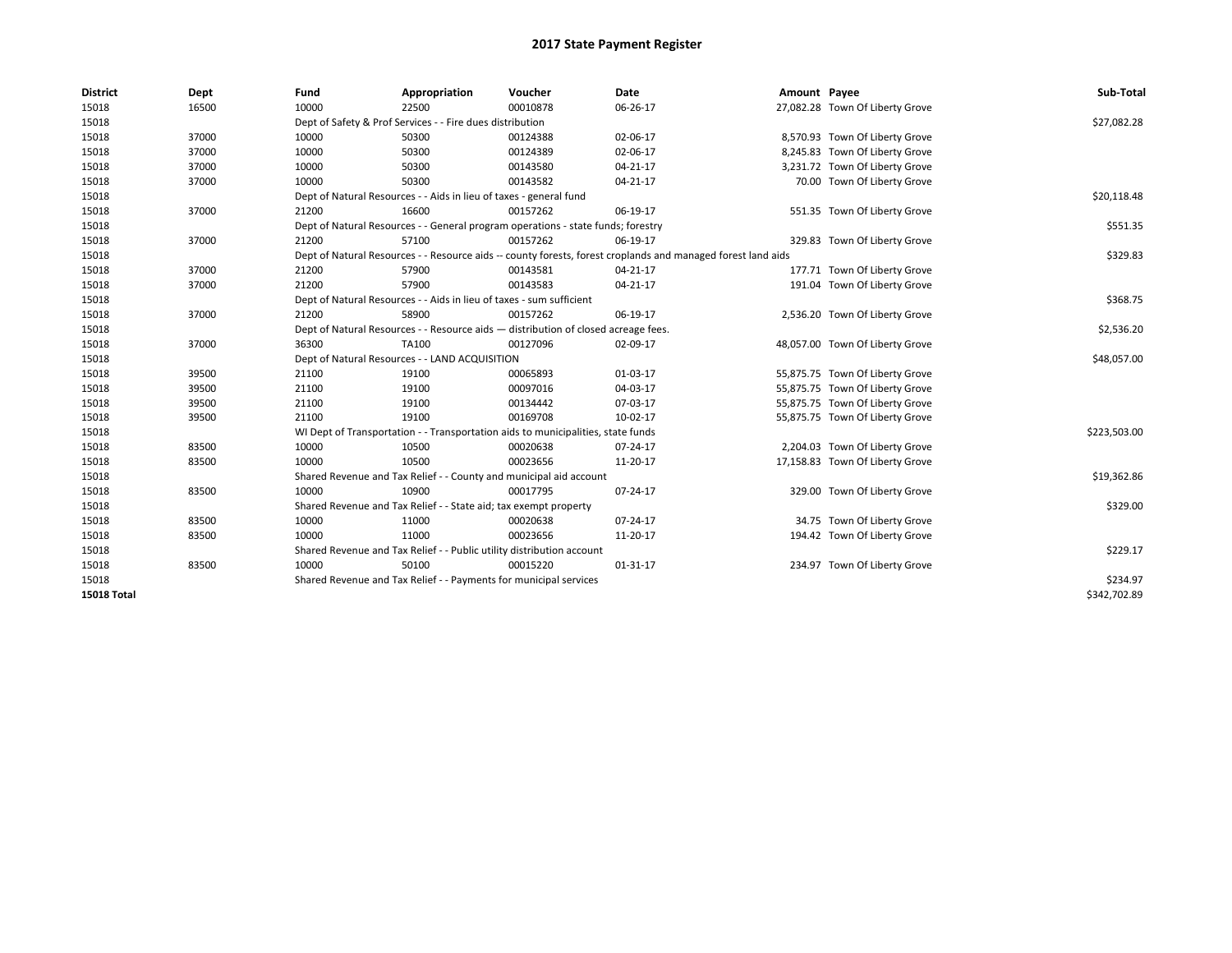| <b>District</b>    | Dept  | Fund                                                                               | Appropriation                                                                    | Voucher    | Date                                                                                                         | Amount Payee |                                 | Sub-Total    |
|--------------------|-------|------------------------------------------------------------------------------------|----------------------------------------------------------------------------------|------------|--------------------------------------------------------------------------------------------------------------|--------------|---------------------------------|--------------|
| 15018              | 16500 | 10000                                                                              | 22500                                                                            | 00010878   | 06-26-17                                                                                                     |              | 27,082.28 Town Of Liberty Grove |              |
| 15018              |       |                                                                                    | Dept of Safety & Prof Services - - Fire dues distribution                        |            |                                                                                                              |              |                                 | \$27,082.28  |
| 15018              | 37000 | 10000                                                                              | 50300                                                                            | 00124388   | 02-06-17                                                                                                     |              | 8,570.93 Town Of Liberty Grove  |              |
| 15018              | 37000 | 10000                                                                              | 50300                                                                            | 00124389   | 02-06-17                                                                                                     |              | 8,245.83 Town Of Liberty Grove  |              |
| 15018              | 37000 | 10000                                                                              | 50300                                                                            | 00143580   | 04-21-17                                                                                                     |              | 3,231.72 Town Of Liberty Grove  |              |
| 15018              | 37000 | 10000                                                                              | 50300                                                                            | 00143582   | 04-21-17                                                                                                     |              | 70.00 Town Of Liberty Grove     |              |
| 15018              |       |                                                                                    | Dept of Natural Resources - - Aids in lieu of taxes - general fund               |            |                                                                                                              |              |                                 | \$20,118.48  |
| 15018              | 37000 | 21200                                                                              | 16600                                                                            | 00157262   | 06-19-17                                                                                                     |              | 551.35 Town Of Liberty Grove    |              |
| 15018              |       |                                                                                    | Dept of Natural Resources - - General program operations - state funds; forestry |            |                                                                                                              |              |                                 | \$551.35     |
| 15018              | 37000 | 21200                                                                              | 57100                                                                            | 00157262   | 06-19-17                                                                                                     |              | 329.83 Town Of Liberty Grove    |              |
| 15018              |       |                                                                                    |                                                                                  |            | Dept of Natural Resources - - Resource aids -- county forests, forest croplands and managed forest land aids |              |                                 | \$329.83     |
| 15018              | 37000 | 21200                                                                              | 57900                                                                            | 00143581   | 04-21-17                                                                                                     |              | 177.71 Town Of Liberty Grove    |              |
| 15018              | 37000 | 21200                                                                              | 57900                                                                            | 00143583   | 04-21-17                                                                                                     |              | 191.04 Town Of Liberty Grove    |              |
| 15018              |       |                                                                                    | Dept of Natural Resources - - Aids in lieu of taxes - sum sufficient             |            |                                                                                                              |              |                                 | \$368.75     |
| 15018              | 37000 | 21200                                                                              | 58900                                                                            | 00157262   | 06-19-17                                                                                                     |              | 2,536.20 Town Of Liberty Grove  |              |
| 15018              |       | Dept of Natural Resources - - Resource aids - distribution of closed acreage fees. |                                                                                  | \$2,536.20 |                                                                                                              |              |                                 |              |
| 15018              | 37000 | 36300                                                                              | TA100                                                                            | 00127096   | 02-09-17                                                                                                     |              | 48,057.00 Town Of Liberty Grove |              |
| 15018              |       |                                                                                    | Dept of Natural Resources - - LAND ACQUISITION                                   |            |                                                                                                              |              |                                 | \$48,057.00  |
| 15018              | 39500 | 21100                                                                              | 19100                                                                            | 00065893   | 01-03-17                                                                                                     |              | 55,875.75 Town Of Liberty Grove |              |
| 15018              | 39500 | 21100                                                                              | 19100                                                                            | 00097016   | 04-03-17                                                                                                     |              | 55,875.75 Town Of Liberty Grove |              |
| 15018              | 39500 | 21100                                                                              | 19100                                                                            | 00134442   | 07-03-17                                                                                                     |              | 55,875.75 Town Of Liberty Grove |              |
| 15018              | 39500 | 21100                                                                              | 19100                                                                            | 00169708   | 10-02-17                                                                                                     |              | 55,875.75 Town Of Liberty Grove |              |
| 15018              |       |                                                                                    | WI Dept of Transportation - - Transportation aids to municipalities, state funds |            |                                                                                                              |              |                                 | \$223,503.00 |
| 15018              | 83500 | 10000                                                                              | 10500                                                                            | 00020638   | 07-24-17                                                                                                     |              | 2,204.03 Town Of Liberty Grove  |              |
| 15018              | 83500 | 10000                                                                              | 10500                                                                            | 00023656   | 11-20-17                                                                                                     |              | 17,158.83 Town Of Liberty Grove |              |
| 15018              |       |                                                                                    | Shared Revenue and Tax Relief - - County and municipal aid account               |            |                                                                                                              |              |                                 | \$19,362.86  |
| 15018              | 83500 | 10000                                                                              | 10900                                                                            | 00017795   | 07-24-17                                                                                                     |              | 329.00 Town Of Liberty Grove    |              |
| 15018              |       |                                                                                    | Shared Revenue and Tax Relief - - State aid; tax exempt property                 |            |                                                                                                              |              |                                 | \$329.00     |
| 15018              | 83500 | 10000                                                                              | 11000                                                                            | 00020638   | 07-24-17                                                                                                     |              | 34.75 Town Of Liberty Grove     |              |
| 15018              | 83500 | 10000                                                                              | 11000                                                                            | 00023656   | 11-20-17                                                                                                     |              | 194.42 Town Of Liberty Grove    |              |
| 15018              |       |                                                                                    | Shared Revenue and Tax Relief - - Public utility distribution account            |            |                                                                                                              |              |                                 | \$229.17     |
| 15018              | 83500 | 10000                                                                              | 50100                                                                            | 00015220   | 01-31-17                                                                                                     |              | 234.97 Town Of Liberty Grove    |              |
| 15018              |       |                                                                                    | Shared Revenue and Tax Relief - - Payments for municipal services                |            |                                                                                                              |              |                                 | \$234.97     |
| <b>15018 Total</b> |       |                                                                                    |                                                                                  |            |                                                                                                              |              |                                 | \$342,702.89 |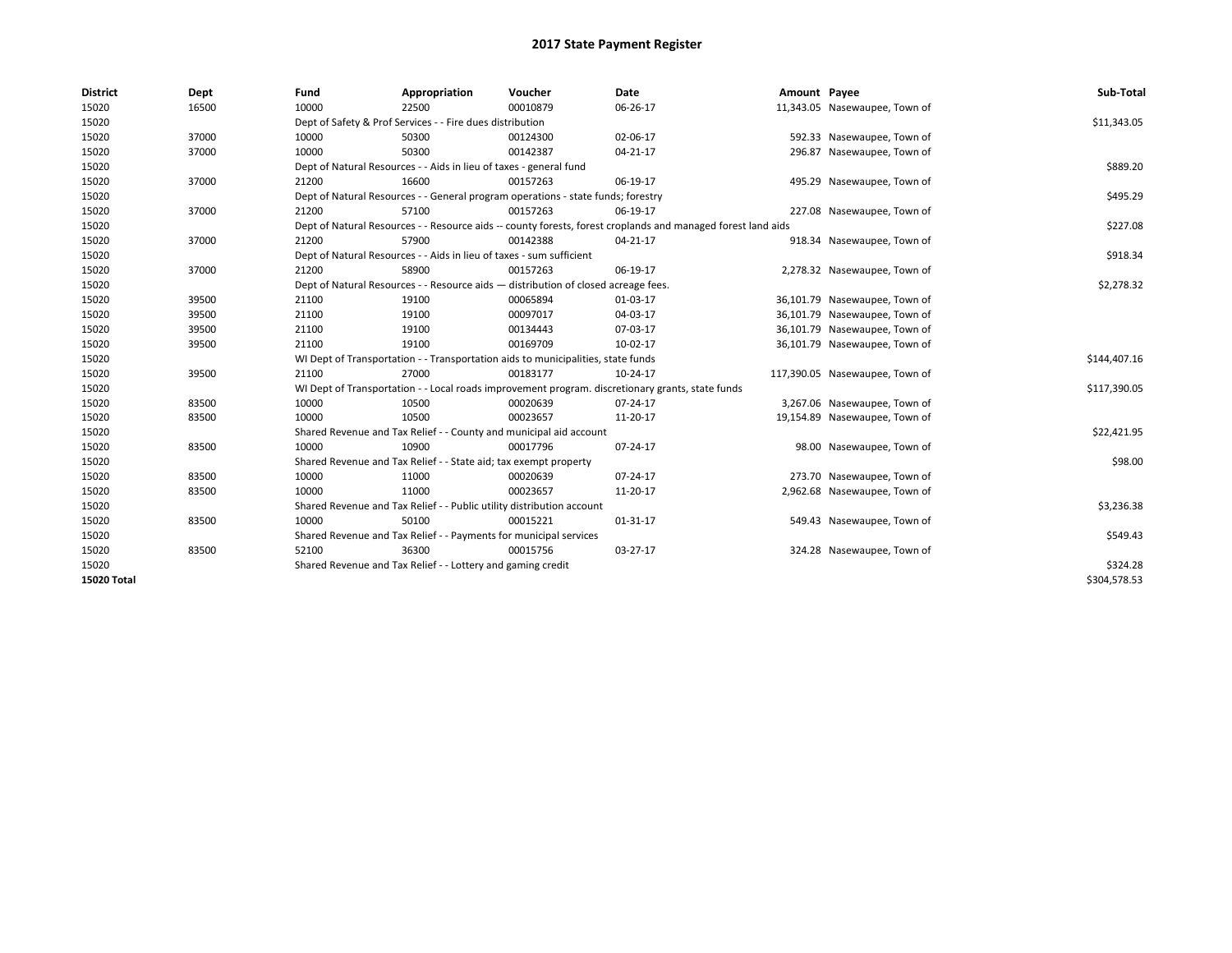| <b>District</b> | Dept  | Fund  | Appropriation                                                                                                | Voucher  | <b>Date</b> | Amount Payee |                                | Sub-Total    |
|-----------------|-------|-------|--------------------------------------------------------------------------------------------------------------|----------|-------------|--------------|--------------------------------|--------------|
| 15020           | 16500 | 10000 | 22500                                                                                                        | 00010879 | 06-26-17    |              | 11,343.05 Nasewaupee, Town of  |              |
| 15020           |       |       | Dept of Safety & Prof Services - - Fire dues distribution                                                    |          |             |              |                                | \$11,343.05  |
| 15020           | 37000 | 10000 | 50300                                                                                                        | 00124300 | 02-06-17    |              | 592.33 Nasewaupee, Town of     |              |
| 15020           | 37000 | 10000 | 50300                                                                                                        | 00142387 | 04-21-17    |              | 296.87 Nasewaupee, Town of     |              |
| 15020           |       |       | Dept of Natural Resources - - Aids in lieu of taxes - general fund                                           |          |             |              |                                | \$889.20     |
| 15020           | 37000 | 21200 | 16600                                                                                                        | 00157263 | 06-19-17    |              | 495.29 Nasewaupee, Town of     |              |
| 15020           |       |       | Dept of Natural Resources - - General program operations - state funds; forestry                             |          |             |              |                                | \$495.29     |
| 15020           | 37000 | 21200 | 57100                                                                                                        | 00157263 | 06-19-17    |              | 227.08 Nasewaupee, Town of     |              |
| 15020           |       |       | Dept of Natural Resources - - Resource aids -- county forests, forest croplands and managed forest land aids |          |             |              |                                | \$227.08     |
| 15020           | 37000 | 21200 | 57900                                                                                                        | 00142388 | 04-21-17    |              | 918.34 Nasewaupee, Town of     |              |
| 15020           |       |       | Dept of Natural Resources - - Aids in lieu of taxes - sum sufficient                                         |          |             |              |                                | \$918.34     |
| 15020           | 37000 | 21200 | 58900                                                                                                        | 00157263 | 06-19-17    |              | 2,278.32 Nasewaupee, Town of   |              |
| 15020           |       |       | Dept of Natural Resources - - Resource aids - distribution of closed acreage fees.                           |          |             |              |                                | \$2,278.32   |
| 15020           | 39500 | 21100 | 19100                                                                                                        | 00065894 | 01-03-17    |              | 36,101.79 Nasewaupee, Town of  |              |
| 15020           | 39500 | 21100 | 19100                                                                                                        | 00097017 | 04-03-17    |              | 36,101.79 Nasewaupee, Town of  |              |
| 15020           | 39500 | 21100 | 19100                                                                                                        | 00134443 | 07-03-17    |              | 36,101.79 Nasewaupee, Town of  |              |
| 15020           | 39500 | 21100 | 19100                                                                                                        | 00169709 | 10-02-17    |              | 36,101.79 Nasewaupee, Town of  |              |
| 15020           |       |       | WI Dept of Transportation - - Transportation aids to municipalities, state funds                             |          |             |              |                                | \$144,407.16 |
| 15020           | 39500 | 21100 | 27000                                                                                                        | 00183177 | 10-24-17    |              | 117,390.05 Nasewaupee, Town of |              |
| 15020           |       |       | WI Dept of Transportation - - Local roads improvement program. discretionary grants, state funds             |          |             |              |                                | \$117,390.05 |
| 15020           | 83500 | 10000 | 10500                                                                                                        | 00020639 | 07-24-17    |              | 3,267.06 Nasewaupee, Town of   |              |
| 15020           | 83500 | 10000 | 10500                                                                                                        | 00023657 | 11-20-17    |              | 19,154.89 Nasewaupee, Town of  |              |
| 15020           |       |       | Shared Revenue and Tax Relief - - County and municipal aid account                                           |          |             |              |                                | \$22,421.95  |
| 15020           | 83500 | 10000 | 10900                                                                                                        | 00017796 | 07-24-17    |              | 98.00 Nasewaupee, Town of      |              |
| 15020           |       |       | Shared Revenue and Tax Relief - - State aid; tax exempt property                                             |          |             |              |                                | \$98.00      |
| 15020           | 83500 | 10000 | 11000                                                                                                        | 00020639 | 07-24-17    |              | 273.70 Nasewaupee, Town of     |              |
| 15020           | 83500 | 10000 | 11000                                                                                                        | 00023657 | 11-20-17    |              | 2,962.68 Nasewaupee, Town of   |              |
| 15020           |       |       | Shared Revenue and Tax Relief - - Public utility distribution account                                        |          |             |              |                                | \$3,236.38   |
| 15020           | 83500 | 10000 | 50100                                                                                                        | 00015221 | 01-31-17    |              | 549.43 Nasewaupee, Town of     |              |
| 15020           |       |       | Shared Revenue and Tax Relief - - Payments for municipal services                                            |          |             |              |                                | \$549.43     |
| 15020           | 83500 | 52100 | 36300                                                                                                        | 00015756 | 03-27-17    |              | 324.28 Nasewaupee, Town of     |              |
| 15020           |       |       | Shared Revenue and Tax Relief - - Lottery and gaming credit                                                  |          |             |              |                                | \$324.28     |
| 15020 Total     |       |       |                                                                                                              |          |             |              |                                | \$304,578.53 |
|                 |       |       |                                                                                                              |          |             |              |                                |              |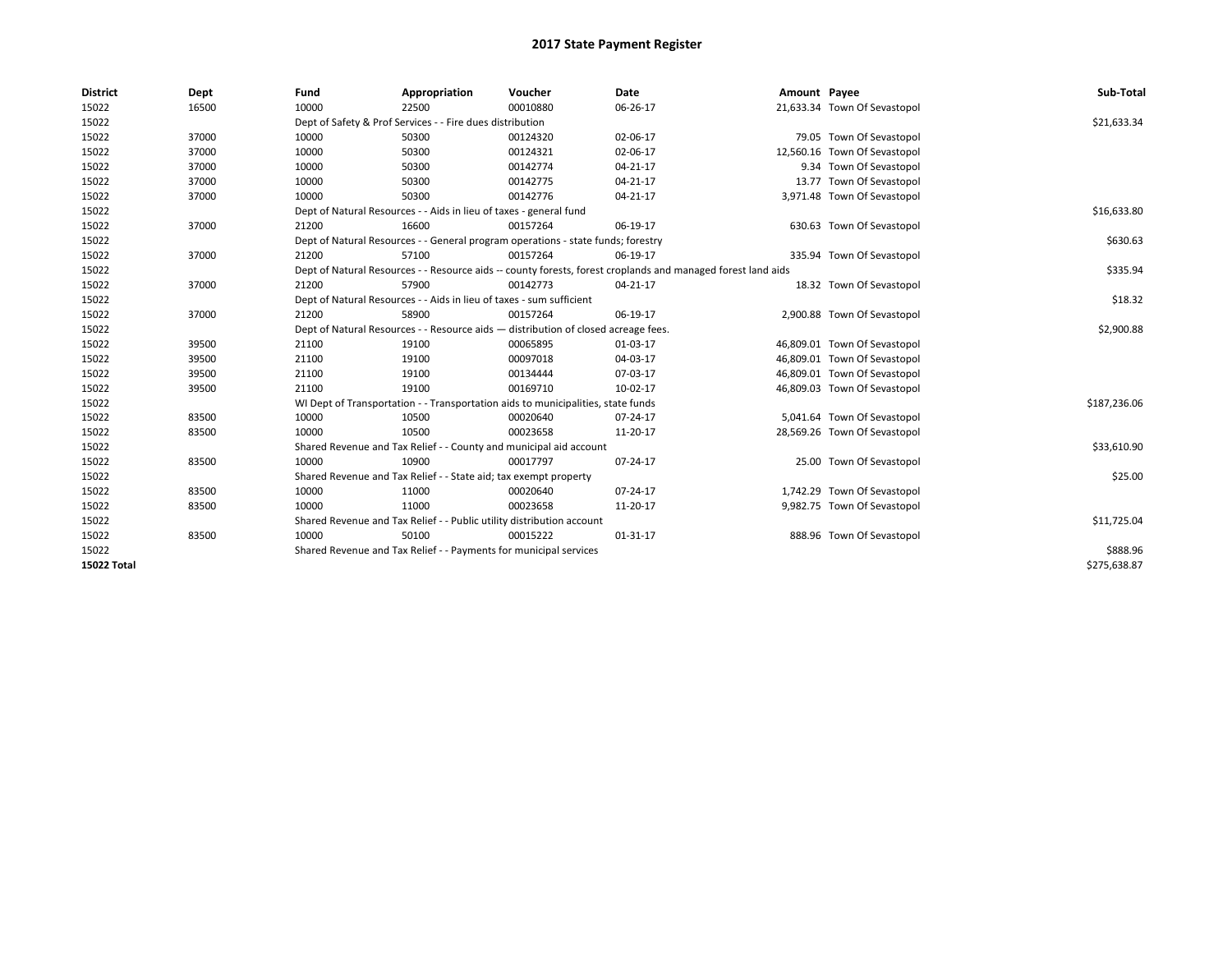| <b>District</b>    | Dept  | Fund  | Appropriation                                                                      | Voucher  | Date                                                                                                         | Amount Payee |                              | Sub-Total    |
|--------------------|-------|-------|------------------------------------------------------------------------------------|----------|--------------------------------------------------------------------------------------------------------------|--------------|------------------------------|--------------|
| 15022              | 16500 | 10000 | 22500                                                                              | 00010880 | 06-26-17                                                                                                     |              | 21,633.34 Town Of Sevastopol |              |
| 15022              |       |       | Dept of Safety & Prof Services - - Fire dues distribution                          |          |                                                                                                              |              |                              | \$21,633.34  |
| 15022              | 37000 | 10000 | 50300                                                                              | 00124320 | 02-06-17                                                                                                     |              | 79.05 Town Of Sevastopol     |              |
| 15022              | 37000 | 10000 | 50300                                                                              | 00124321 | 02-06-17                                                                                                     |              | 12,560.16 Town Of Sevastopol |              |
| 15022              | 37000 | 10000 | 50300                                                                              | 00142774 | $04 - 21 - 17$                                                                                               |              | 9.34 Town Of Sevastopol      |              |
| 15022              | 37000 | 10000 | 50300                                                                              | 00142775 | $04 - 21 - 17$                                                                                               |              | 13.77 Town Of Sevastopol     |              |
| 15022              | 37000 | 10000 | 50300                                                                              | 00142776 | 04-21-17                                                                                                     |              | 3,971.48 Town Of Sevastopol  |              |
| 15022              |       |       | Dept of Natural Resources - - Aids in lieu of taxes - general fund                 |          |                                                                                                              |              |                              | \$16,633.80  |
| 15022              | 37000 | 21200 | 16600                                                                              | 00157264 | 06-19-17                                                                                                     |              | 630.63 Town Of Sevastopol    |              |
| 15022              |       |       | Dept of Natural Resources - - General program operations - state funds; forestry   |          |                                                                                                              |              |                              | \$630.63     |
| 15022              | 37000 | 21200 | 57100                                                                              | 00157264 | 06-19-17                                                                                                     |              | 335.94 Town Of Sevastopol    |              |
| 15022              |       |       |                                                                                    |          | Dept of Natural Resources - - Resource aids -- county forests, forest croplands and managed forest land aids |              |                              | \$335.94     |
| 15022              | 37000 | 21200 | 57900                                                                              | 00142773 | $04 - 21 - 17$                                                                                               |              | 18.32 Town Of Sevastopol     |              |
| 15022              |       |       | Dept of Natural Resources - - Aids in lieu of taxes - sum sufficient               |          |                                                                                                              |              |                              | \$18.32      |
| 15022              | 37000 | 21200 | 58900                                                                              | 00157264 | 06-19-17                                                                                                     |              | 2,900.88 Town Of Sevastopol  |              |
| 15022              |       |       | Dept of Natural Resources - - Resource aids - distribution of closed acreage fees. |          |                                                                                                              |              |                              | \$2,900.88   |
| 15022              | 39500 | 21100 | 19100                                                                              | 00065895 | 01-03-17                                                                                                     |              | 46,809.01 Town Of Sevastopol |              |
| 15022              | 39500 | 21100 | 19100                                                                              | 00097018 | 04-03-17                                                                                                     |              | 46,809.01 Town Of Sevastopol |              |
| 15022              | 39500 | 21100 | 19100                                                                              | 00134444 | 07-03-17                                                                                                     |              | 46,809.01 Town Of Sevastopol |              |
| 15022              | 39500 | 21100 | 19100                                                                              | 00169710 | 10-02-17                                                                                                     |              | 46,809.03 Town Of Sevastopol |              |
| 15022              |       |       | WI Dept of Transportation - - Transportation aids to municipalities, state funds   |          |                                                                                                              |              |                              | \$187,236.06 |
| 15022              | 83500 | 10000 | 10500                                                                              | 00020640 | 07-24-17                                                                                                     |              | 5,041.64 Town Of Sevastopol  |              |
| 15022              | 83500 | 10000 | 10500                                                                              | 00023658 | 11-20-17                                                                                                     |              | 28,569.26 Town Of Sevastopol |              |
| 15022              |       |       | Shared Revenue and Tax Relief - - County and municipal aid account                 |          |                                                                                                              |              |                              | \$33,610.90  |
| 15022              | 83500 | 10000 | 10900                                                                              | 00017797 | 07-24-17                                                                                                     |              | 25.00 Town Of Sevastopol     |              |
| 15022              |       |       | Shared Revenue and Tax Relief - - State aid; tax exempt property                   |          |                                                                                                              |              |                              | \$25.00      |
| 15022              | 83500 | 10000 | 11000                                                                              | 00020640 | 07-24-17                                                                                                     |              | 1,742.29 Town Of Sevastopol  |              |
| 15022              | 83500 | 10000 | 11000                                                                              | 00023658 | 11-20-17                                                                                                     |              | 9,982.75 Town Of Sevastopol  |              |
| 15022              |       |       | Shared Revenue and Tax Relief - - Public utility distribution account              |          |                                                                                                              |              |                              | \$11,725.04  |
| 15022              | 83500 | 10000 | 50100                                                                              | 00015222 | $01 - 31 - 17$                                                                                               |              | 888.96 Town Of Sevastopol    |              |
| 15022              |       |       | Shared Revenue and Tax Relief - - Payments for municipal services                  |          |                                                                                                              |              |                              | \$888.96     |
| <b>15022 Total</b> |       |       |                                                                                    |          |                                                                                                              |              |                              | \$275,638.87 |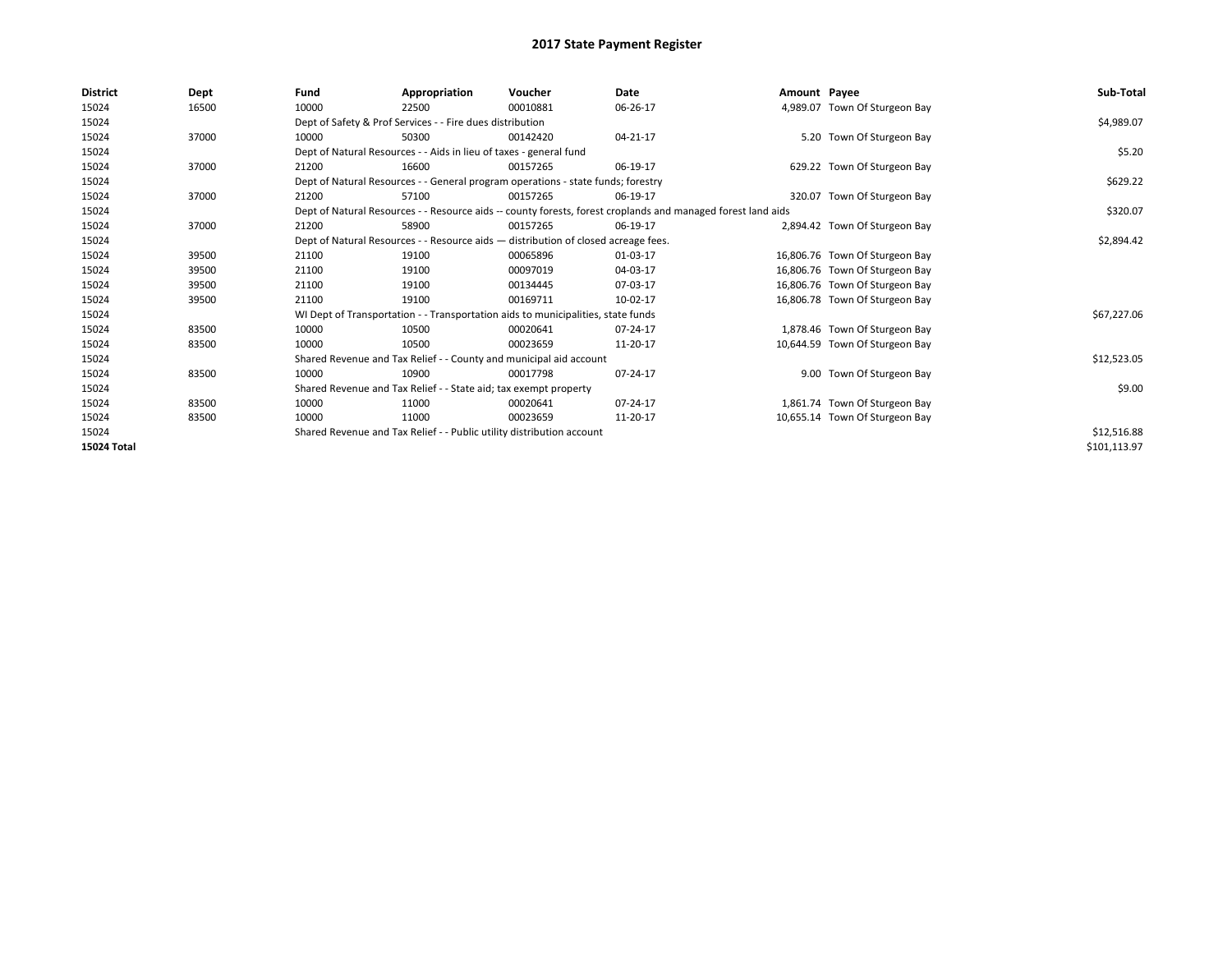| <b>District</b> | Dept  | Fund                                                             | Appropriation                                                         | Voucher                                                                            | Date                                                                                                         | Amount Payee |                                | Sub-Total    |
|-----------------|-------|------------------------------------------------------------------|-----------------------------------------------------------------------|------------------------------------------------------------------------------------|--------------------------------------------------------------------------------------------------------------|--------------|--------------------------------|--------------|
| 15024           | 16500 | 10000                                                            | 22500                                                                 | 00010881                                                                           | 06-26-17                                                                                                     |              | 4,989.07 Town Of Sturgeon Bay  |              |
| 15024           |       |                                                                  | Dept of Safety & Prof Services - - Fire dues distribution             |                                                                                    |                                                                                                              |              |                                | \$4,989.07   |
| 15024           | 37000 | 10000                                                            | 50300                                                                 | 00142420                                                                           | 04-21-17                                                                                                     |              | 5.20 Town Of Sturgeon Bay      |              |
| 15024           |       |                                                                  | Dept of Natural Resources - - Aids in lieu of taxes - general fund    |                                                                                    |                                                                                                              |              |                                | \$5.20       |
| 15024           | 37000 | 21200                                                            | 16600                                                                 | 00157265                                                                           | 06-19-17                                                                                                     |              | 629.22 Town Of Sturgeon Bay    |              |
| 15024           |       |                                                                  |                                                                       | Dept of Natural Resources - - General program operations - state funds; forestry   |                                                                                                              |              |                                | \$629.22     |
| 15024           | 37000 | 21200                                                            | 57100                                                                 | 00157265                                                                           | 06-19-17                                                                                                     |              | 320.07 Town Of Sturgeon Bay    |              |
| 15024           |       |                                                                  |                                                                       |                                                                                    | Dept of Natural Resources - - Resource aids -- county forests, forest croplands and managed forest land aids |              |                                | \$320.07     |
| 15024           | 37000 | 21200                                                            | 58900                                                                 | 00157265                                                                           | 06-19-17                                                                                                     |              | 2,894.42 Town Of Sturgeon Bay  |              |
| 15024           |       |                                                                  |                                                                       | Dept of Natural Resources - - Resource aids - distribution of closed acreage fees. |                                                                                                              |              |                                | \$2,894.42   |
| 15024           | 39500 | 21100                                                            | 19100                                                                 | 00065896                                                                           | 01-03-17                                                                                                     |              | 16,806.76 Town Of Sturgeon Bay |              |
| 15024           | 39500 | 21100                                                            | 19100                                                                 | 00097019                                                                           | 04-03-17                                                                                                     |              | 16,806.76 Town Of Sturgeon Bay |              |
| 15024           | 39500 | 21100                                                            | 19100                                                                 | 00134445                                                                           | 07-03-17                                                                                                     |              | 16,806.76 Town Of Sturgeon Bay |              |
| 15024           | 39500 | 21100                                                            | 19100                                                                 | 00169711                                                                           | 10-02-17                                                                                                     |              | 16,806.78 Town Of Sturgeon Bay |              |
| 15024           |       |                                                                  |                                                                       | WI Dept of Transportation - - Transportation aids to municipalities, state funds   |                                                                                                              |              |                                | \$67,227.06  |
| 15024           | 83500 | 10000                                                            | 10500                                                                 | 00020641                                                                           | 07-24-17                                                                                                     |              | 1,878.46 Town Of Sturgeon Bay  |              |
| 15024           | 83500 | 10000                                                            | 10500                                                                 | 00023659                                                                           | 11-20-17                                                                                                     |              | 10,644.59 Town Of Sturgeon Bay |              |
| 15024           |       |                                                                  |                                                                       | Shared Revenue and Tax Relief - - County and municipal aid account                 |                                                                                                              |              |                                | \$12,523.05  |
| 15024           | 83500 | 10000                                                            | 10900                                                                 | 00017798                                                                           | 07-24-17                                                                                                     |              | 9.00 Town Of Sturgeon Bay      |              |
| 15024           |       | Shared Revenue and Tax Relief - - State aid; tax exempt property |                                                                       | \$9.00                                                                             |                                                                                                              |              |                                |              |
| 15024           | 83500 | 10000                                                            | 11000                                                                 | 00020641                                                                           | 07-24-17                                                                                                     |              | 1,861.74 Town Of Sturgeon Bay  |              |
| 15024           | 83500 | 10000                                                            | 11000                                                                 | 00023659                                                                           | 11-20-17                                                                                                     |              | 10,655.14 Town Of Sturgeon Bay |              |
| 15024           |       |                                                                  | Shared Revenue and Tax Relief - - Public utility distribution account |                                                                                    |                                                                                                              |              |                                | \$12,516.88  |
| 15024 Total     |       |                                                                  |                                                                       |                                                                                    |                                                                                                              |              |                                | \$101,113.97 |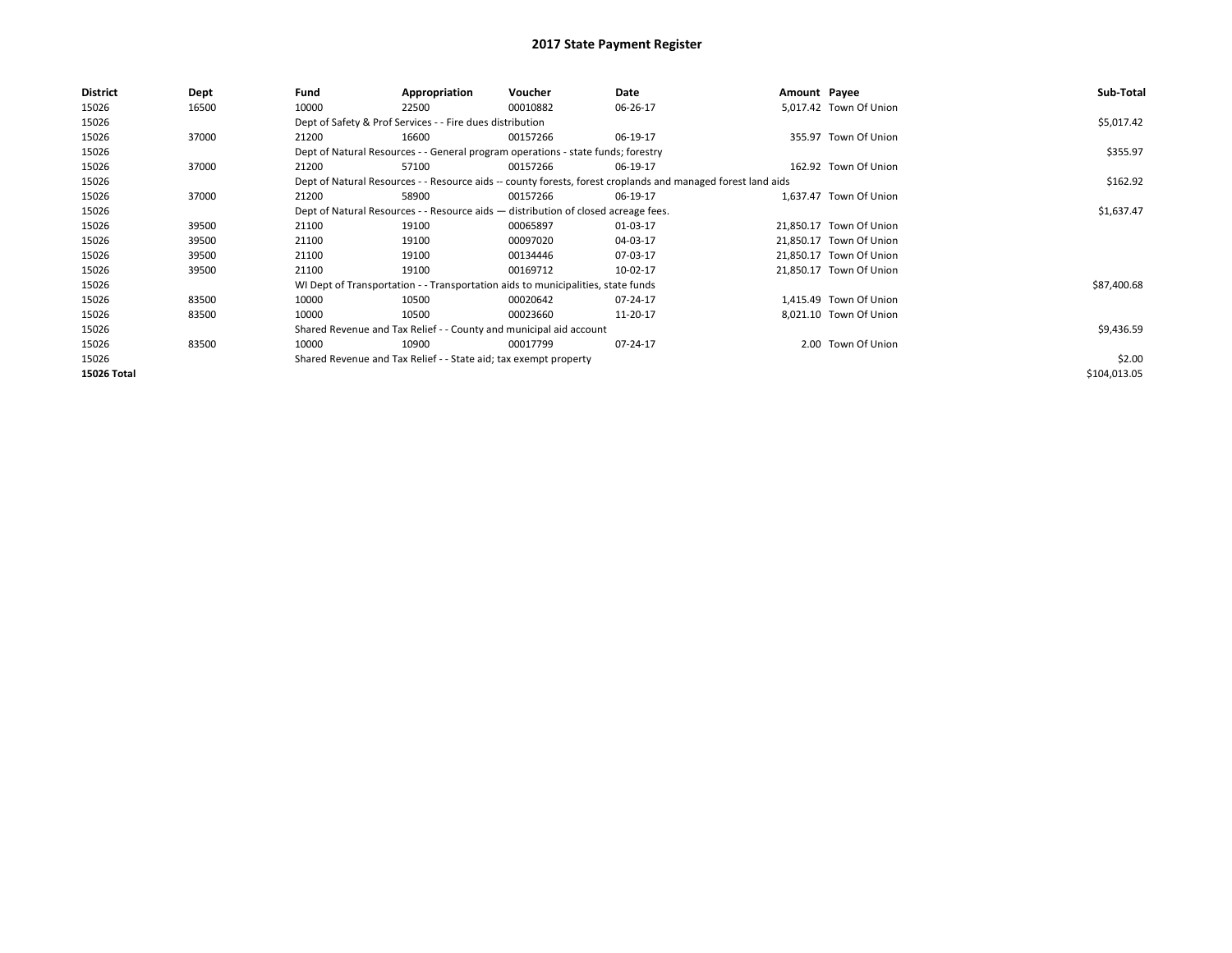| District    | Dept  | Fund                                                               | Appropriation                                                                      | Voucher    | Date                                                                                                         | Amount Payee |                         | Sub-Total    |
|-------------|-------|--------------------------------------------------------------------|------------------------------------------------------------------------------------|------------|--------------------------------------------------------------------------------------------------------------|--------------|-------------------------|--------------|
| 15026       | 16500 | 10000                                                              | 22500                                                                              | 00010882   | 06-26-17                                                                                                     |              | 5.017.42 Town Of Union  |              |
| 15026       |       |                                                                    | Dept of Safety & Prof Services - - Fire dues distribution                          |            |                                                                                                              |              |                         | \$5,017.42   |
| 15026       | 37000 | 21200                                                              | 16600                                                                              | 00157266   | 06-19-17                                                                                                     |              | 355.97 Town Of Union    |              |
| 15026       |       |                                                                    | Dept of Natural Resources - - General program operations - state funds; forestry   |            |                                                                                                              |              |                         | \$355.97     |
| 15026       | 37000 | 21200                                                              | 57100                                                                              | 00157266   | 06-19-17                                                                                                     |              | 162.92 Town Of Union    |              |
| 15026       |       |                                                                    |                                                                                    |            | Dept of Natural Resources - - Resource aids -- county forests, forest croplands and managed forest land aids |              |                         | \$162.92     |
| 15026       | 37000 | 21200                                                              | 58900                                                                              | 00157266   | 06-19-17                                                                                                     |              | 1,637.47 Town Of Union  |              |
| 15026       |       |                                                                    | Dept of Natural Resources - - Resource aids - distribution of closed acreage fees. |            |                                                                                                              |              |                         | \$1,637.47   |
| 15026       | 39500 | 21100                                                              | 19100                                                                              | 00065897   | 01-03-17                                                                                                     |              | 21,850.17 Town Of Union |              |
| 15026       | 39500 | 21100                                                              | 19100                                                                              | 00097020   | 04-03-17                                                                                                     |              | 21,850.17 Town Of Union |              |
| 15026       | 39500 | 21100                                                              | 19100                                                                              | 00134446   | 07-03-17                                                                                                     |              | 21,850.17 Town Of Union |              |
| 15026       | 39500 | 21100                                                              | 19100                                                                              | 00169712   | 10-02-17                                                                                                     |              | 21,850.17 Town Of Union |              |
| 15026       |       |                                                                    | WI Dept of Transportation - - Transportation aids to municipalities, state funds   |            |                                                                                                              |              |                         | \$87,400.68  |
| 15026       | 83500 | 10000                                                              | 10500                                                                              | 00020642   | 07-24-17                                                                                                     |              | 1.415.49 Town Of Union  |              |
| 15026       | 83500 | 10000                                                              | 10500                                                                              | 00023660   | 11-20-17                                                                                                     |              | 8,021.10 Town Of Union  |              |
| 15026       |       | Shared Revenue and Tax Relief - - County and municipal aid account |                                                                                    | \$9,436.59 |                                                                                                              |              |                         |              |
| 15026       | 83500 | 10000                                                              | 10900                                                                              | 00017799   | 07-24-17                                                                                                     |              | 2.00 Town Of Union      |              |
| 15026       |       |                                                                    | Shared Revenue and Tax Relief - - State aid; tax exempt property                   |            |                                                                                                              |              |                         | \$2.00       |
| 15026 Total |       |                                                                    |                                                                                    |            |                                                                                                              |              |                         | \$104,013.05 |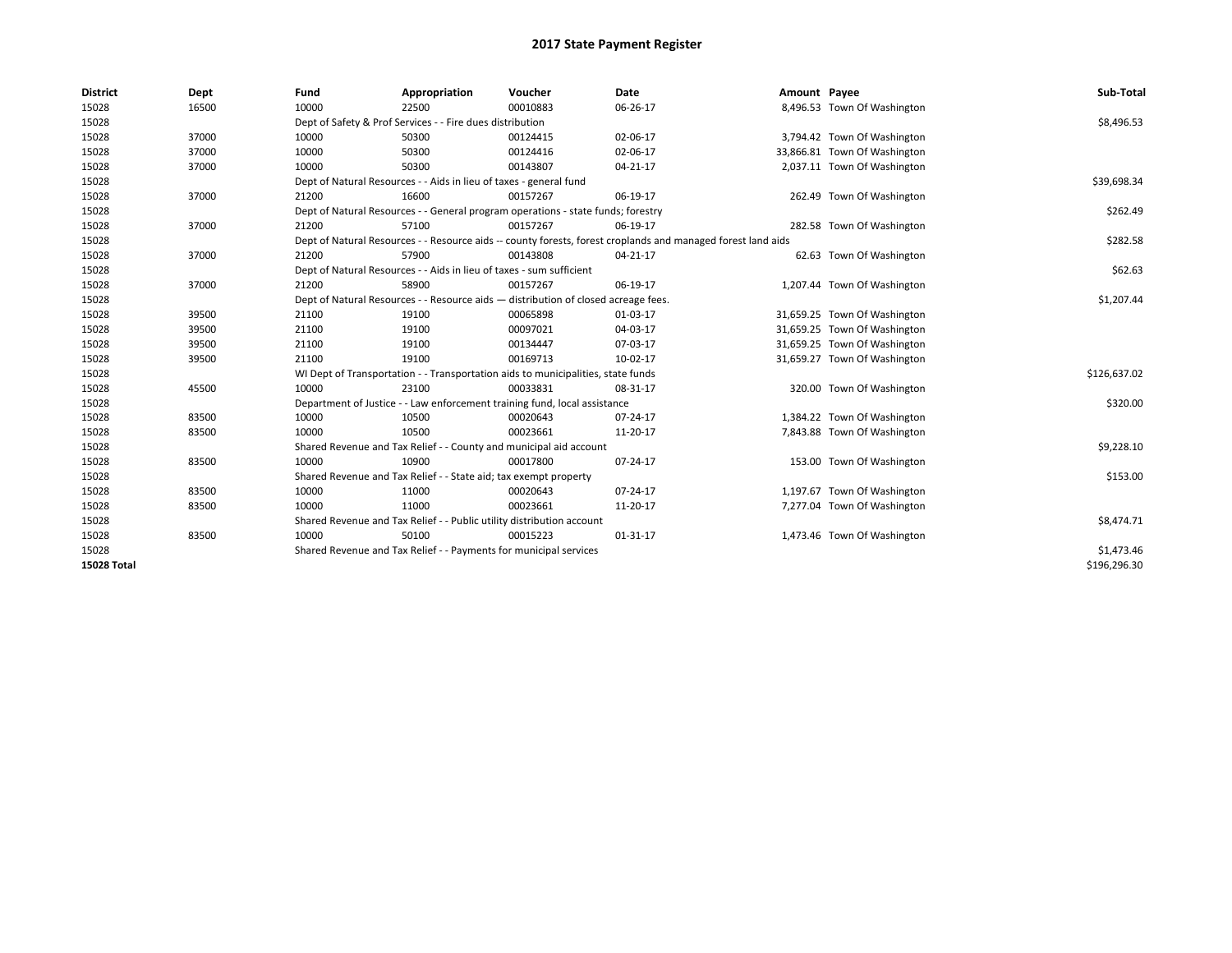| <b>District</b>    | Dept  | Fund                                                                               | Appropriation                                                         | Voucher                                                                          | Date                                                                                                         | Amount Payee |                              | Sub-Total    |
|--------------------|-------|------------------------------------------------------------------------------------|-----------------------------------------------------------------------|----------------------------------------------------------------------------------|--------------------------------------------------------------------------------------------------------------|--------------|------------------------------|--------------|
| 15028              | 16500 | 10000                                                                              | 22500                                                                 | 00010883                                                                         | 06-26-17                                                                                                     |              | 8,496.53 Town Of Washington  |              |
| 15028              |       |                                                                                    | Dept of Safety & Prof Services - - Fire dues distribution             |                                                                                  |                                                                                                              |              |                              | \$8,496.53   |
| 15028              | 37000 | 10000                                                                              | 50300                                                                 | 00124415                                                                         | 02-06-17                                                                                                     |              | 3,794.42 Town Of Washington  |              |
| 15028              | 37000 | 10000                                                                              | 50300                                                                 | 00124416                                                                         | 02-06-17                                                                                                     |              | 33,866.81 Town Of Washington |              |
| 15028              | 37000 | 10000                                                                              | 50300                                                                 | 00143807                                                                         | 04-21-17                                                                                                     |              | 2,037.11 Town Of Washington  |              |
| 15028              |       |                                                                                    | Dept of Natural Resources - - Aids in lieu of taxes - general fund    |                                                                                  |                                                                                                              |              |                              | \$39,698.34  |
| 15028              | 37000 | 21200                                                                              | 16600                                                                 | 00157267                                                                         | 06-19-17                                                                                                     |              | 262.49 Town Of Washington    |              |
| 15028              |       |                                                                                    |                                                                       | Dept of Natural Resources - - General program operations - state funds; forestry |                                                                                                              |              |                              | \$262.49     |
| 15028              | 37000 | 21200                                                                              | 57100                                                                 | 00157267                                                                         | 06-19-17                                                                                                     |              | 282.58 Town Of Washington    |              |
| 15028              |       |                                                                                    |                                                                       |                                                                                  | Dept of Natural Resources - - Resource aids -- county forests, forest croplands and managed forest land aids |              |                              | \$282.58     |
| 15028              | 37000 | 21200                                                                              | 57900                                                                 | 00143808                                                                         | 04-21-17                                                                                                     |              | 62.63 Town Of Washington     |              |
| 15028              |       |                                                                                    | Dept of Natural Resources - - Aids in lieu of taxes - sum sufficient  |                                                                                  |                                                                                                              |              |                              | \$62.63      |
| 15028              | 37000 | 21200                                                                              | 58900                                                                 | 00157267                                                                         | 06-19-17                                                                                                     |              | 1,207.44 Town Of Washington  |              |
| 15028              |       | Dept of Natural Resources - - Resource aids - distribution of closed acreage fees. |                                                                       | \$1,207.44                                                                       |                                                                                                              |              |                              |              |
| 15028              | 39500 | 21100                                                                              | 19100                                                                 | 00065898                                                                         | 01-03-17                                                                                                     |              | 31,659.25 Town Of Washington |              |
| 15028              | 39500 | 21100                                                                              | 19100                                                                 | 00097021                                                                         | 04-03-17                                                                                                     |              | 31,659.25 Town Of Washington |              |
| 15028              | 39500 | 21100                                                                              | 19100                                                                 | 00134447                                                                         | 07-03-17                                                                                                     |              | 31,659.25 Town Of Washington |              |
| 15028              | 39500 | 21100                                                                              | 19100                                                                 | 00169713                                                                         | 10-02-17                                                                                                     |              | 31,659.27 Town Of Washington |              |
| 15028              |       |                                                                                    |                                                                       | WI Dept of Transportation - - Transportation aids to municipalities, state funds |                                                                                                              |              |                              | \$126,637.02 |
| 15028              | 45500 | 10000                                                                              | 23100                                                                 | 00033831                                                                         | 08-31-17                                                                                                     |              | 320.00 Town Of Washington    |              |
| 15028              |       |                                                                                    |                                                                       | Department of Justice - - Law enforcement training fund, local assistance        |                                                                                                              |              |                              | \$320.00     |
| 15028              | 83500 | 10000                                                                              | 10500                                                                 | 00020643                                                                         | 07-24-17                                                                                                     |              | 1,384.22 Town Of Washington  |              |
| 15028              | 83500 | 10000                                                                              | 10500                                                                 | 00023661                                                                         | 11-20-17                                                                                                     |              | 7,843.88 Town Of Washington  |              |
| 15028              |       |                                                                                    | Shared Revenue and Tax Relief - - County and municipal aid account    |                                                                                  |                                                                                                              |              |                              | \$9,228.10   |
| 15028              | 83500 | 10000                                                                              | 10900                                                                 | 00017800                                                                         | 07-24-17                                                                                                     |              | 153.00 Town Of Washington    |              |
| 15028              |       |                                                                                    | Shared Revenue and Tax Relief - - State aid; tax exempt property      |                                                                                  |                                                                                                              |              |                              | \$153.00     |
| 15028              | 83500 | 10000                                                                              | 11000                                                                 | 00020643                                                                         | 07-24-17                                                                                                     |              | 1,197.67 Town Of Washington  |              |
| 15028              | 83500 | 10000                                                                              | 11000                                                                 | 00023661                                                                         | 11-20-17                                                                                                     |              | 7,277.04 Town Of Washington  |              |
| 15028              |       |                                                                                    | Shared Revenue and Tax Relief - - Public utility distribution account |                                                                                  |                                                                                                              |              |                              | \$8,474.71   |
| 15028              | 83500 | 10000                                                                              | 50100                                                                 | 00015223                                                                         | $01 - 31 - 17$                                                                                               |              | 1,473.46 Town Of Washington  |              |
| 15028              |       |                                                                                    | Shared Revenue and Tax Relief - - Payments for municipal services     |                                                                                  |                                                                                                              |              |                              | \$1,473.46   |
| <b>15028 Total</b> |       |                                                                                    |                                                                       |                                                                                  |                                                                                                              |              |                              | \$196,296.30 |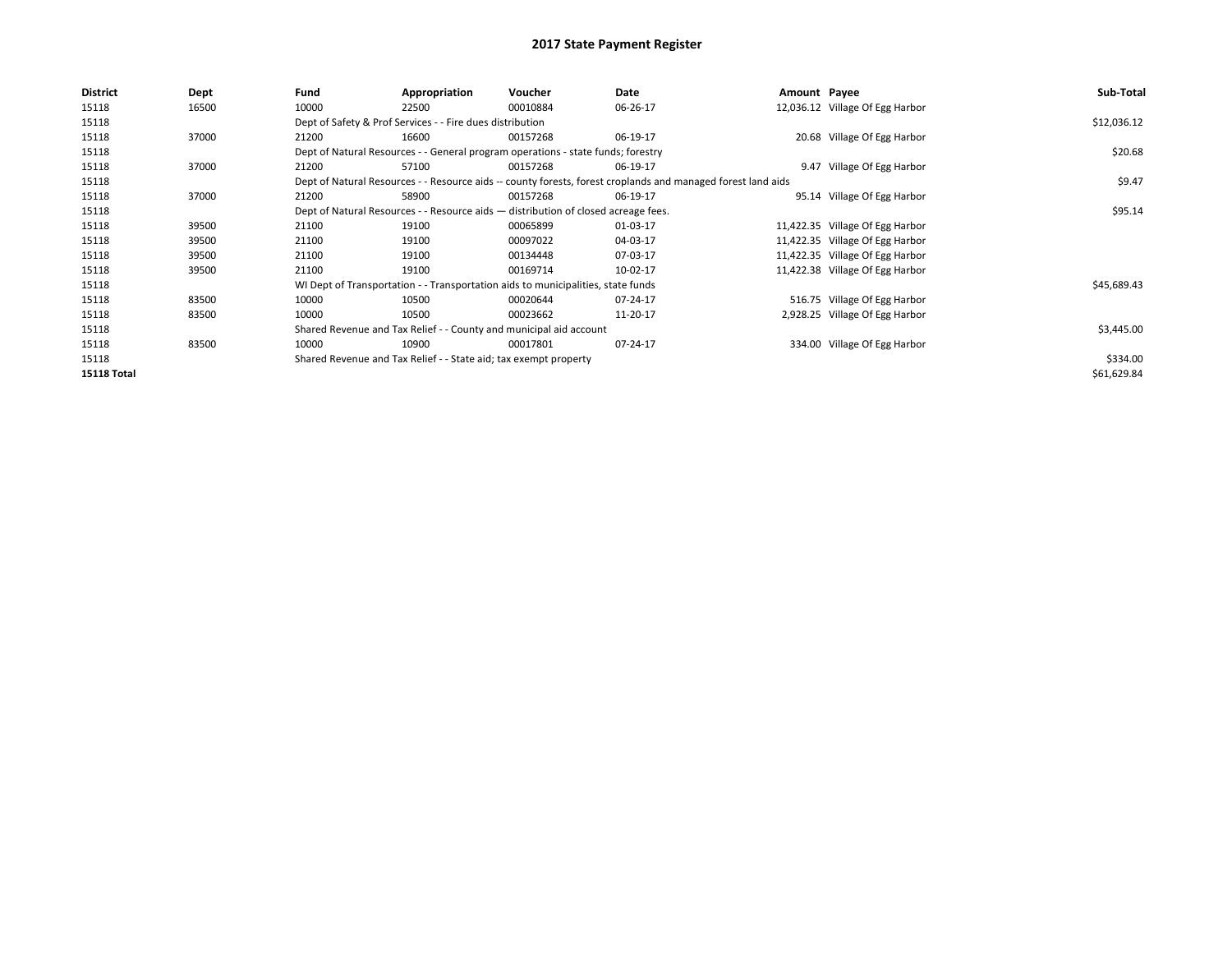| <b>District</b>    | Dept  | Fund                                                               | Appropriation                                                                      | Voucher    | Date                                                                                                         | Amount Payee |                                 | Sub-Total   |
|--------------------|-------|--------------------------------------------------------------------|------------------------------------------------------------------------------------|------------|--------------------------------------------------------------------------------------------------------------|--------------|---------------------------------|-------------|
| 15118              | 16500 | 10000                                                              | 22500                                                                              | 00010884   | 06-26-17                                                                                                     |              | 12,036.12 Village Of Egg Harbor |             |
| 15118              |       |                                                                    | Dept of Safety & Prof Services - - Fire dues distribution                          |            |                                                                                                              |              |                                 | \$12,036.12 |
| 15118              | 37000 | 21200                                                              | 16600                                                                              | 00157268   | 06-19-17                                                                                                     |              | 20.68 Village Of Egg Harbor     |             |
| 15118              |       |                                                                    | Dept of Natural Resources - - General program operations - state funds; forestry   |            |                                                                                                              |              |                                 | \$20.68     |
| 15118              | 37000 | 21200                                                              | 57100                                                                              | 00157268   | 06-19-17                                                                                                     |              | 9.47 Village Of Egg Harbor      |             |
| 15118              |       |                                                                    |                                                                                    |            | Dept of Natural Resources - - Resource aids -- county forests, forest croplands and managed forest land aids |              |                                 | \$9.47      |
| 15118              | 37000 | 21200                                                              | 58900                                                                              | 00157268   | 06-19-17                                                                                                     |              | 95.14 Village Of Egg Harbor     |             |
| 15118              |       |                                                                    | Dept of Natural Resources - - Resource aids - distribution of closed acreage fees. |            |                                                                                                              |              |                                 | \$95.14     |
| 15118              | 39500 | 21100                                                              | 19100                                                                              | 00065899   | 01-03-17                                                                                                     |              | 11,422.35 Village Of Egg Harbor |             |
| 15118              | 39500 | 21100                                                              | 19100                                                                              | 00097022   | 04-03-17                                                                                                     |              | 11,422.35 Village Of Egg Harbor |             |
| 15118              | 39500 | 21100                                                              | 19100                                                                              | 00134448   | 07-03-17                                                                                                     |              | 11,422.35 Village Of Egg Harbor |             |
| 15118              | 39500 | 21100                                                              | 19100                                                                              | 00169714   | 10-02-17                                                                                                     |              | 11,422.38 Village Of Egg Harbor |             |
| 15118              |       |                                                                    | WI Dept of Transportation - - Transportation aids to municipalities, state funds   |            |                                                                                                              |              |                                 | \$45,689.43 |
| 15118              | 83500 | 10000                                                              | 10500                                                                              | 00020644   | 07-24-17                                                                                                     |              | 516.75 Village Of Egg Harbor    |             |
| 15118              | 83500 | 10000                                                              | 10500                                                                              | 00023662   | 11-20-17                                                                                                     |              | 2,928.25 Village Of Egg Harbor  |             |
| 15118              |       | Shared Revenue and Tax Relief - - County and municipal aid account |                                                                                    | \$3,445.00 |                                                                                                              |              |                                 |             |
| 15118              | 83500 | 10000                                                              | 10900                                                                              | 00017801   | 07-24-17                                                                                                     |              | 334.00 Village Of Egg Harbor    |             |
| 15118              |       |                                                                    | Shared Revenue and Tax Relief - - State aid; tax exempt property                   |            |                                                                                                              |              |                                 | \$334.00    |
| <b>15118 Total</b> |       |                                                                    |                                                                                    |            |                                                                                                              |              |                                 | \$61,629.84 |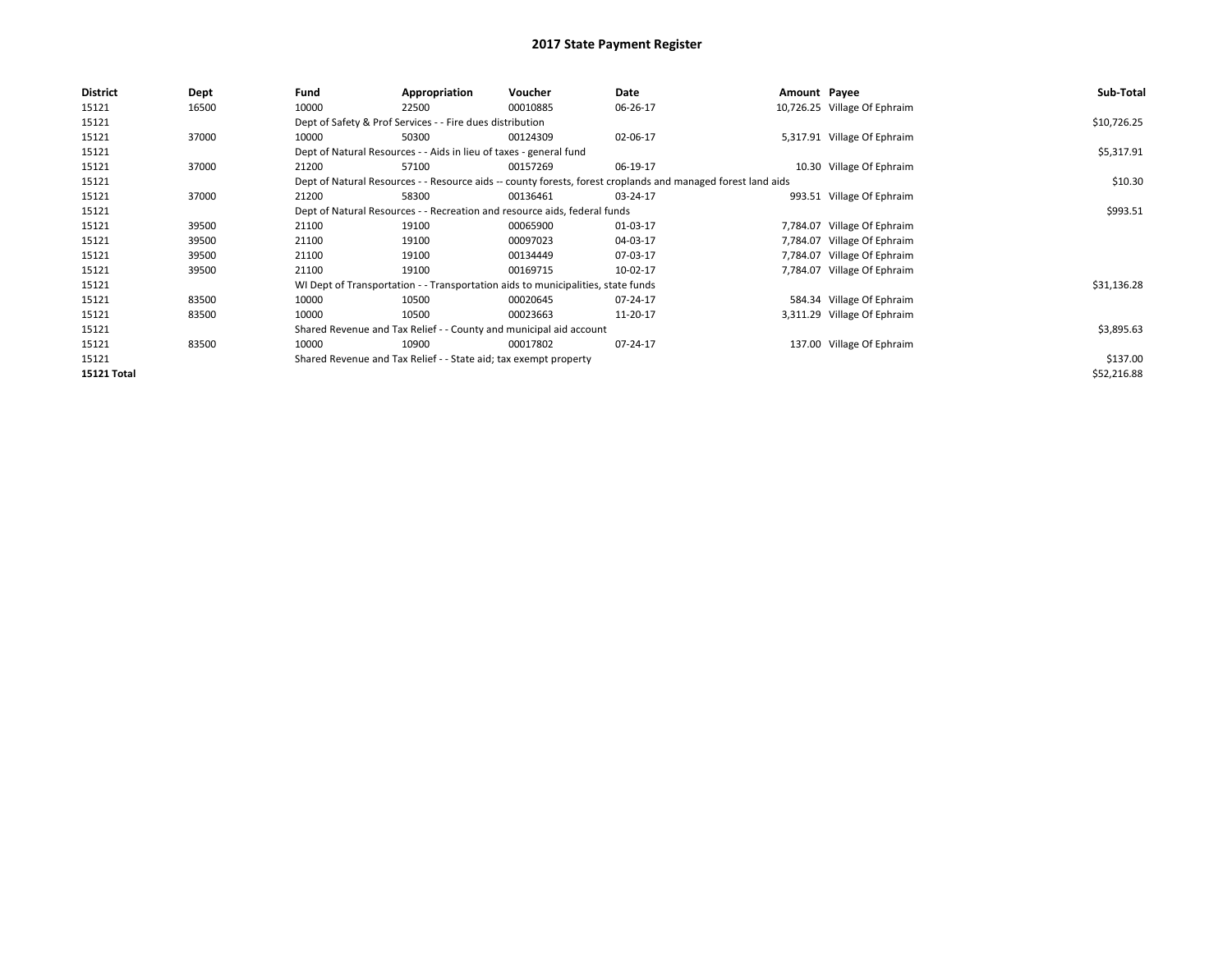| <b>District</b> | Dept  | Fund                                                               | Appropriation                                                      | Voucher                                                                          | Date                                                                                                         | Amount Payee |                              | Sub-Total   |
|-----------------|-------|--------------------------------------------------------------------|--------------------------------------------------------------------|----------------------------------------------------------------------------------|--------------------------------------------------------------------------------------------------------------|--------------|------------------------------|-------------|
| 15121           | 16500 | 10000                                                              | 22500                                                              | 00010885                                                                         | 06-26-17                                                                                                     |              | 10,726.25 Village Of Ephraim |             |
| 15121           |       |                                                                    | Dept of Safety & Prof Services - - Fire dues distribution          |                                                                                  |                                                                                                              |              |                              | \$10,726.25 |
| 15121           | 37000 | 10000                                                              | 50300                                                              | 00124309                                                                         | 02-06-17                                                                                                     |              | 5,317.91 Village Of Ephraim  |             |
| 15121           |       |                                                                    | Dept of Natural Resources - - Aids in lieu of taxes - general fund |                                                                                  |                                                                                                              |              |                              | \$5,317.91  |
| 15121           | 37000 | 21200                                                              | 57100                                                              | 00157269                                                                         | 06-19-17                                                                                                     |              | 10.30 Village Of Ephraim     |             |
| 15121           |       |                                                                    |                                                                    |                                                                                  | Dept of Natural Resources - - Resource aids -- county forests, forest croplands and managed forest land aids |              |                              | \$10.30     |
| 15121           | 37000 | 21200                                                              | 58300                                                              | 00136461                                                                         | 03-24-17                                                                                                     |              | 993.51 Village Of Ephraim    |             |
| 15121           |       |                                                                    |                                                                    | Dept of Natural Resources - - Recreation and resource aids, federal funds        |                                                                                                              |              |                              | \$993.51    |
| 15121           | 39500 | 21100                                                              | 19100                                                              | 00065900                                                                         | 01-03-17                                                                                                     |              | 7,784.07 Village Of Ephraim  |             |
| 15121           | 39500 | 21100                                                              | 19100                                                              | 00097023                                                                         | 04-03-17                                                                                                     |              | 7,784.07 Village Of Ephraim  |             |
| 15121           | 39500 | 21100                                                              | 19100                                                              | 00134449                                                                         | 07-03-17                                                                                                     |              | 7,784.07 Village Of Ephraim  |             |
| 15121           | 39500 | 21100                                                              | 19100                                                              | 00169715                                                                         | 10-02-17                                                                                                     |              | 7,784.07 Village Of Ephraim  |             |
| 15121           |       |                                                                    |                                                                    | WI Dept of Transportation - - Transportation aids to municipalities, state funds |                                                                                                              |              |                              | \$31,136.28 |
| 15121           | 83500 | 10000                                                              | 10500                                                              | 00020645                                                                         | 07-24-17                                                                                                     |              | 584.34 Village Of Ephraim    |             |
| 15121           | 83500 | 10000                                                              | 10500                                                              | 00023663                                                                         | 11-20-17                                                                                                     |              | 3,311.29 Village Of Ephraim  |             |
| 15121           |       | Shared Revenue and Tax Relief - - County and municipal aid account |                                                                    | \$3,895.63                                                                       |                                                                                                              |              |                              |             |
| 15121           | 83500 | 10000                                                              | 10900                                                              | 00017802                                                                         | 07-24-17                                                                                                     |              | 137.00 Village Of Ephraim    |             |
| 15121           |       |                                                                    | Shared Revenue and Tax Relief - - State aid; tax exempt property   |                                                                                  |                                                                                                              |              |                              | \$137.00    |
| 15121 Total     |       |                                                                    |                                                                    |                                                                                  |                                                                                                              |              |                              | \$52,216.88 |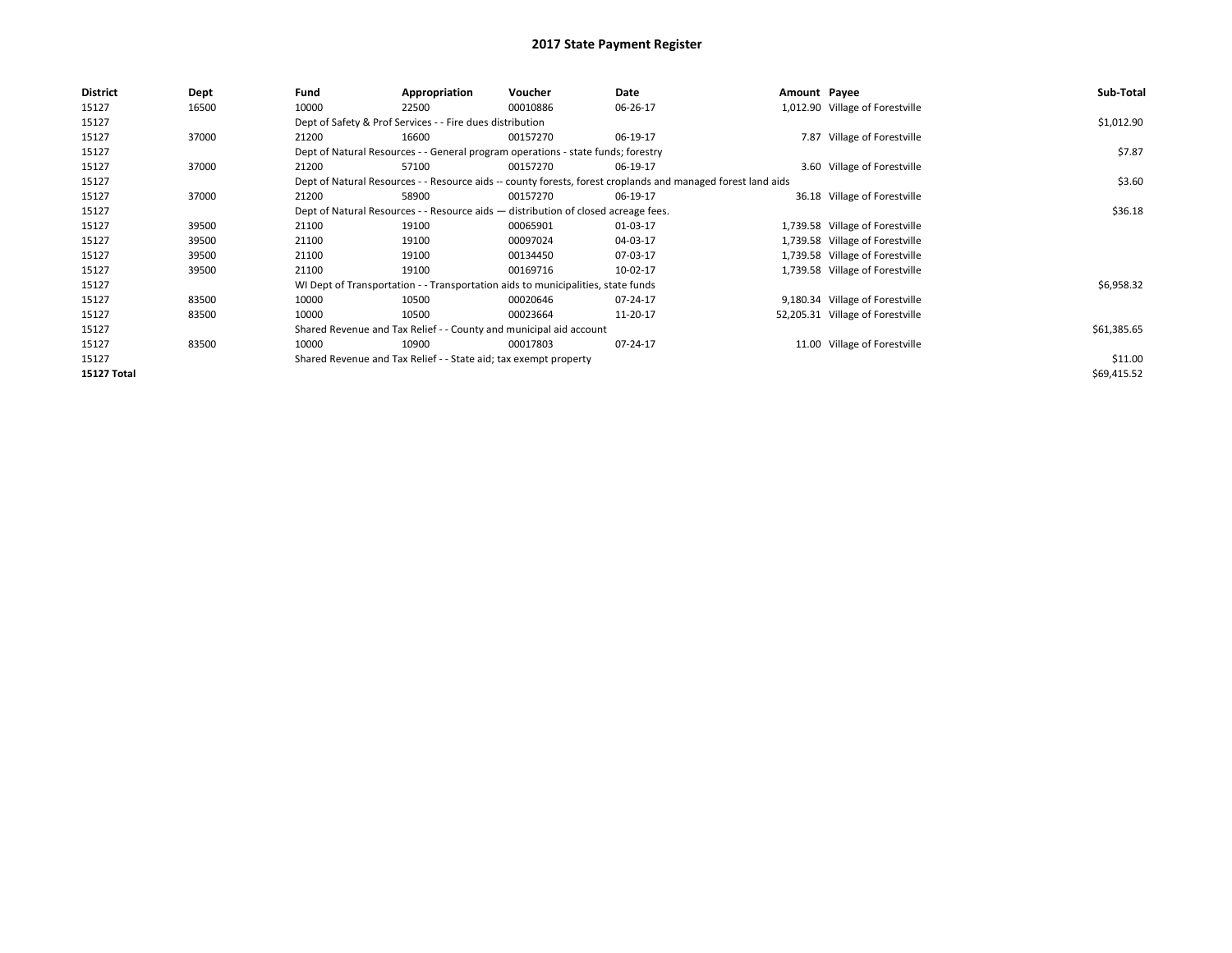| <b>District</b>    | Dept  | Fund                                                               | Appropriation                                                                      | Voucher  | Date                                                                                                         | Amount Payee |                                  | Sub-Total   |
|--------------------|-------|--------------------------------------------------------------------|------------------------------------------------------------------------------------|----------|--------------------------------------------------------------------------------------------------------------|--------------|----------------------------------|-------------|
| 15127              | 16500 | 10000                                                              | 22500                                                                              | 00010886 | 06-26-17                                                                                                     |              | 1,012.90 Village of Forestville  |             |
| 15127              |       |                                                                    | Dept of Safety & Prof Services - - Fire dues distribution                          |          |                                                                                                              |              |                                  | \$1,012.90  |
| 15127              | 37000 | 21200                                                              | 16600                                                                              | 00157270 | 06-19-17                                                                                                     |              | 7.87 Village of Forestville      |             |
| 15127              |       |                                                                    | Dept of Natural Resources - - General program operations - state funds; forestry   |          |                                                                                                              |              |                                  | \$7.87      |
| 15127              | 37000 | 21200                                                              | 57100                                                                              | 00157270 | 06-19-17                                                                                                     |              | 3.60 Village of Forestville      |             |
| 15127              |       |                                                                    |                                                                                    |          | Dept of Natural Resources - - Resource aids -- county forests, forest croplands and managed forest land aids |              |                                  | \$3.60      |
| 15127              | 37000 | 21200                                                              | 58900                                                                              | 00157270 | 06-19-17                                                                                                     |              | 36.18 Village of Forestville     |             |
| 15127              |       |                                                                    | Dept of Natural Resources - - Resource aids - distribution of closed acreage fees. |          |                                                                                                              |              |                                  | \$36.18     |
| 15127              | 39500 | 21100                                                              | 19100                                                                              | 00065901 | 01-03-17                                                                                                     |              | 1,739.58 Village of Forestville  |             |
| 15127              | 39500 | 21100                                                              | 19100                                                                              | 00097024 | 04-03-17                                                                                                     |              | 1,739.58 Village of Forestville  |             |
| 15127              | 39500 | 21100                                                              | 19100                                                                              | 00134450 | 07-03-17                                                                                                     |              | 1,739.58 Village of Forestville  |             |
| 15127              | 39500 | 21100                                                              | 19100                                                                              | 00169716 | 10-02-17                                                                                                     |              | 1,739.58 Village of Forestville  |             |
| 15127              |       |                                                                    | WI Dept of Transportation - - Transportation aids to municipalities, state funds   |          |                                                                                                              |              |                                  | \$6,958.32  |
| 15127              | 83500 | 10000                                                              | 10500                                                                              | 00020646 | 07-24-17                                                                                                     |              | 9,180.34 Village of Forestville  |             |
| 15127              | 83500 | 10000                                                              | 10500                                                                              | 00023664 | 11-20-17                                                                                                     |              | 52,205.31 Village of Forestville |             |
| 15127              |       | Shared Revenue and Tax Relief - - County and municipal aid account | \$61,385.65                                                                        |          |                                                                                                              |              |                                  |             |
| 15127              | 83500 | 10000                                                              | 10900                                                                              | 00017803 | 07-24-17                                                                                                     |              | 11.00 Village of Forestville     |             |
| 15127              |       |                                                                    | Shared Revenue and Tax Relief - - State aid; tax exempt property                   |          |                                                                                                              |              |                                  | \$11.00     |
| <b>15127 Total</b> |       |                                                                    |                                                                                    |          |                                                                                                              |              |                                  | \$69,415.52 |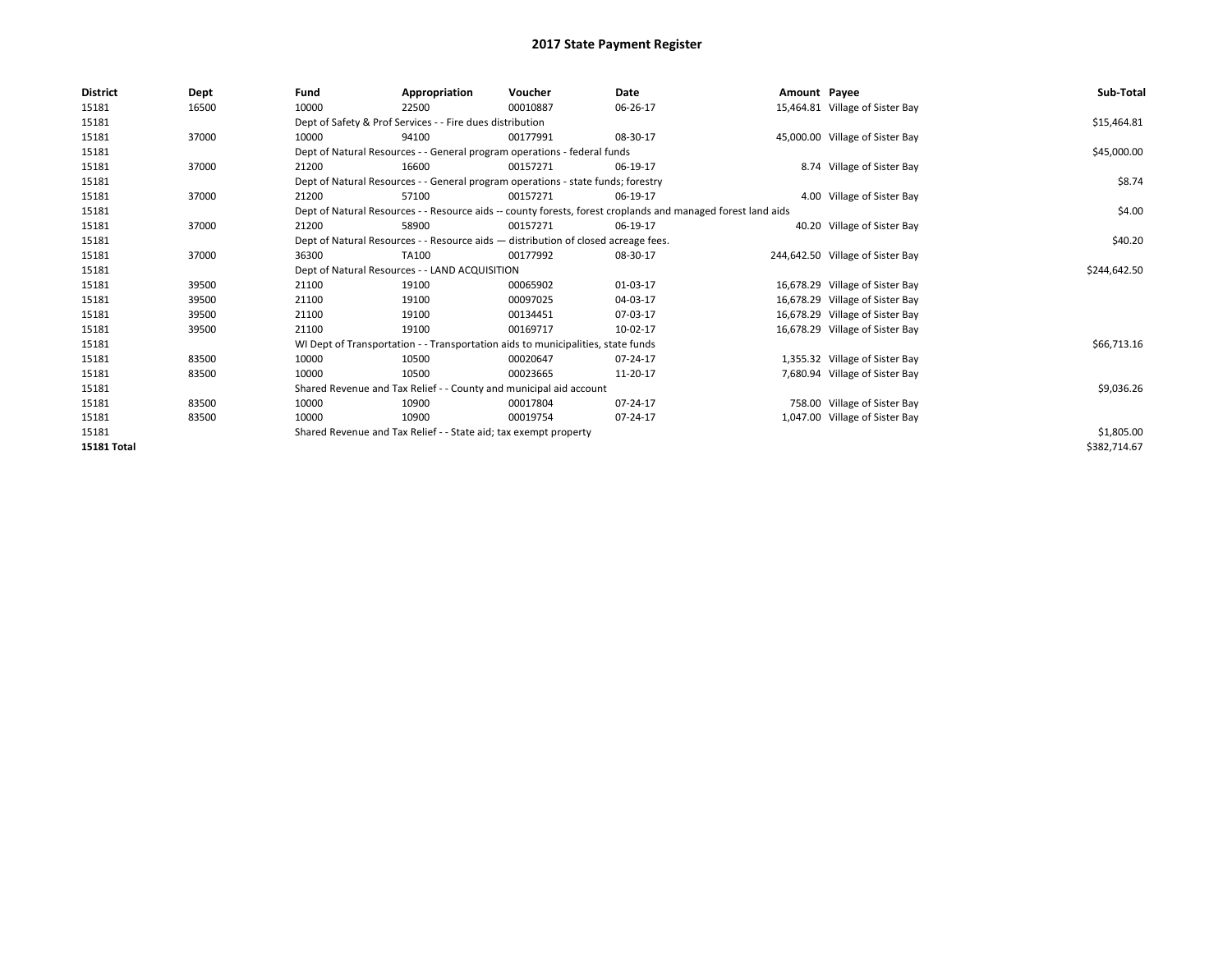| <b>District</b> | <b>Dept</b> | Fund                                                               | Appropriation                                                                      | Voucher    | Date                                                                                                         | Amount Payee |                                  | Sub-Total    |
|-----------------|-------------|--------------------------------------------------------------------|------------------------------------------------------------------------------------|------------|--------------------------------------------------------------------------------------------------------------|--------------|----------------------------------|--------------|
| 15181           | 16500       | 10000                                                              | 22500                                                                              | 00010887   | 06-26-17                                                                                                     |              | 15,464.81 Village of Sister Bay  |              |
| 15181           |             |                                                                    | Dept of Safety & Prof Services - - Fire dues distribution                          |            |                                                                                                              |              |                                  | \$15,464.81  |
| 15181           | 37000       | 10000                                                              | 94100                                                                              | 00177991   | 08-30-17                                                                                                     |              | 45,000.00 Village of Sister Bay  |              |
| 15181           |             |                                                                    | Dept of Natural Resources - - General program operations - federal funds           |            |                                                                                                              |              |                                  | \$45,000.00  |
| 15181           | 37000       | 21200                                                              | 16600                                                                              | 00157271   | 06-19-17                                                                                                     |              | 8.74 Village of Sister Bay       |              |
| 15181           |             |                                                                    | Dept of Natural Resources - - General program operations - state funds; forestry   |            |                                                                                                              |              |                                  | \$8.74       |
| 15181           | 37000       | 21200                                                              | 57100                                                                              | 00157271   | 06-19-17                                                                                                     |              | 4.00 Village of Sister Bay       |              |
| 15181           |             |                                                                    |                                                                                    |            | Dept of Natural Resources - - Resource aids -- county forests, forest croplands and managed forest land aids |              |                                  | \$4.00       |
| 15181           | 37000       | 21200                                                              | 58900                                                                              | 00157271   | 06-19-17                                                                                                     |              | 40.20 Village of Sister Bay      |              |
| 15181           |             |                                                                    | Dept of Natural Resources - - Resource aids - distribution of closed acreage fees. |            |                                                                                                              |              |                                  | \$40.20      |
| 15181           | 37000       | 36300                                                              | TA100                                                                              | 00177992   | 08-30-17                                                                                                     |              | 244,642.50 Village of Sister Bay |              |
| 15181           |             |                                                                    | Dept of Natural Resources - - LAND ACQUISITION                                     |            |                                                                                                              |              |                                  | \$244,642.50 |
| 15181           | 39500       | 21100                                                              | 19100                                                                              | 00065902   | $01-03-17$                                                                                                   |              | 16,678.29 Village of Sister Bay  |              |
| 15181           | 39500       | 21100                                                              | 19100                                                                              | 00097025   | 04-03-17                                                                                                     |              | 16,678.29 Village of Sister Bay  |              |
| 15181           | 39500       | 21100                                                              | 19100                                                                              | 00134451   | 07-03-17                                                                                                     |              | 16,678.29 Village of Sister Bay  |              |
| 15181           | 39500       | 21100                                                              | 19100                                                                              | 00169717   | 10-02-17                                                                                                     |              | 16,678.29 Village of Sister Bay  |              |
| 15181           |             |                                                                    | WI Dept of Transportation - - Transportation aids to municipalities, state funds   |            |                                                                                                              |              |                                  | \$66,713.16  |
| 15181           | 83500       | 10000                                                              | 10500                                                                              | 00020647   | 07-24-17                                                                                                     |              | 1,355.32 Village of Sister Bay   |              |
| 15181           | 83500       | 10000                                                              | 10500                                                                              | 00023665   | 11-20-17                                                                                                     |              | 7,680.94 Village of Sister Bay   |              |
| 15181           |             | Shared Revenue and Tax Relief - - County and municipal aid account |                                                                                    | \$9,036.26 |                                                                                                              |              |                                  |              |
| 15181           | 83500       | 10000                                                              | 10900                                                                              | 00017804   | $07 - 24 - 17$                                                                                               |              | 758.00 Village of Sister Bay     |              |
| 15181           | 83500       | 10000                                                              | 10900                                                                              | 00019754   | 07-24-17                                                                                                     |              | 1,047.00 Village of Sister Bay   |              |
| 15181           |             |                                                                    | Shared Revenue and Tax Relief - - State aid; tax exempt property                   |            |                                                                                                              |              |                                  | \$1,805.00   |
| 15181 Total     |             |                                                                    |                                                                                    |            |                                                                                                              |              |                                  | \$382,714.67 |